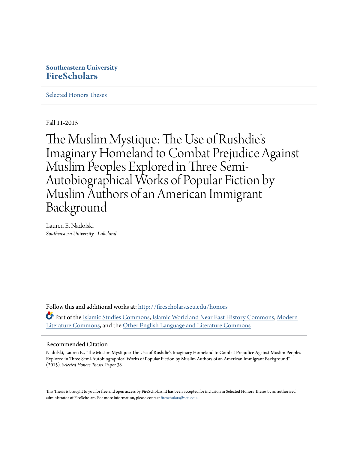# **Southeastern University [FireScholars](http://firescholars.seu.edu?utm_source=firescholars.seu.edu%2Fhonors%2F38&utm_medium=PDF&utm_campaign=PDFCoverPages)**

[Selected Honors Theses](http://firescholars.seu.edu/honors?utm_source=firescholars.seu.edu%2Fhonors%2F38&utm_medium=PDF&utm_campaign=PDFCoverPages)

Fall 11-2015

The Muslim Mystique: The Use of Rushdie' s Imaginary Homeland to Combat Prejudice Against Muslim Peoples Explored in Three Semi-Autobiographical Works of Popular Fiction by Muslim Authors of an American Immigrant Background

Lauren E. Nadolski *Southeastern University - Lakeland*

Follow this and additional works at: [http://firescholars.seu.edu/honors](http://firescholars.seu.edu/honors?utm_source=firescholars.seu.edu%2Fhonors%2F38&utm_medium=PDF&utm_campaign=PDFCoverPages) Part of the [Islamic Studies Commons](http://network.bepress.com/hgg/discipline/1346?utm_source=firescholars.seu.edu%2Fhonors%2F38&utm_medium=PDF&utm_campaign=PDFCoverPages), [Islamic World and Near East History Commons,](http://network.bepress.com/hgg/discipline/493?utm_source=firescholars.seu.edu%2Fhonors%2F38&utm_medium=PDF&utm_campaign=PDFCoverPages) [Modern](http://network.bepress.com/hgg/discipline/1050?utm_source=firescholars.seu.edu%2Fhonors%2F38&utm_medium=PDF&utm_campaign=PDFCoverPages) [Literature Commons,](http://network.bepress.com/hgg/discipline/1050?utm_source=firescholars.seu.edu%2Fhonors%2F38&utm_medium=PDF&utm_campaign=PDFCoverPages) and the [Other English Language and Literature Commons](http://network.bepress.com/hgg/discipline/462?utm_source=firescholars.seu.edu%2Fhonors%2F38&utm_medium=PDF&utm_campaign=PDFCoverPages)

#### Recommended Citation

Nadolski, Lauren E., "The Muslim Mystique: The Use of Rushdie's Imaginary Homeland to Combat Prejudice Against Muslim Peoples Explored in Three Semi-Autobiographical Works of Popular Fiction by Muslim Authors of an American Immigrant Background" (2015). *Selected Honors Theses.* Paper 38.

This Thesis is brought to you for free and open access by FireScholars. It has been accepted for inclusion in Selected Honors Theses by an authorized administrator of FireScholars. For more information, please contact [firescholars@seu.edu](mailto:firescholars@seu.edu).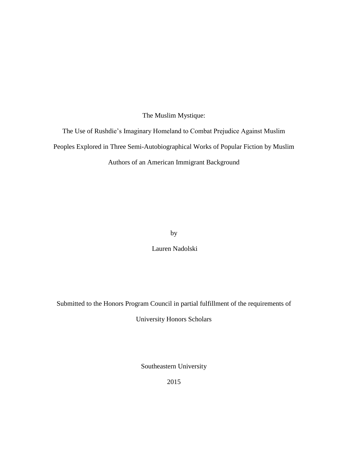The Muslim Mystique:

The Use of Rushdie's Imaginary Homeland to Combat Prejudice Against Muslim Peoples Explored in Three Semi-Autobiographical Works of Popular Fiction by Muslim Authors of an American Immigrant Background

by

Lauren Nadolski

Submitted to the Honors Program Council in partial fulfillment of the requirements of

University Honors Scholars

Southeastern University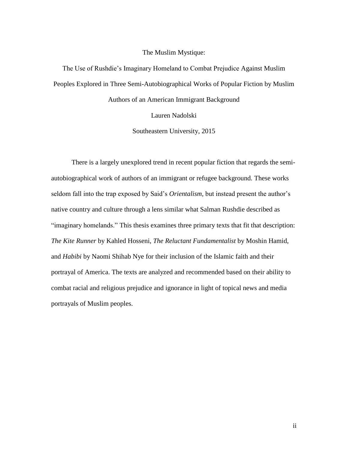#### The Muslim Mystique:

The Use of Rushdie's Imaginary Homeland to Combat Prejudice Against Muslim Peoples Explored in Three Semi-Autobiographical Works of Popular Fiction by Muslim Authors of an American Immigrant Background

Lauren Nadolski

Southeastern University, 2015

There is a largely unexplored trend in recent popular fiction that regards the semiautobiographical work of authors of an immigrant or refugee background. These works seldom fall into the trap exposed by Said's *Orientalism,* but instead present the author's native country and culture through a lens similar what Salman Rushdie described as "imaginary homelands." This thesis examines three primary texts that fit that description: *The Kite Runner* by Kahled Hosseni, *The Reluctant Fundamentalist* by Moshin Hamid, and *Habibi* by Naomi Shihab Nye for their inclusion of the Islamic faith and their portrayal of America. The texts are analyzed and recommended based on their ability to combat racial and religious prejudice and ignorance in light of topical news and media portrayals of Muslim peoples.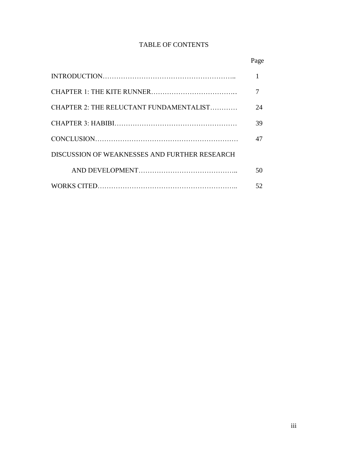## TABLE OF CONTENTS

|                                               | Page |
|-----------------------------------------------|------|
|                                               | 1    |
|                                               |      |
| CHAPTER 2: THE RELUCTANT FUNDAMENTALIST       | 24   |
|                                               | 39   |
|                                               | 47   |
| DISCUSSION OF WEAKNESSES AND FURTHER RESEARCH |      |
|                                               | 50   |
|                                               | 52.  |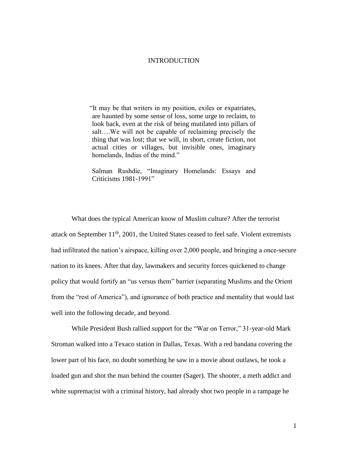#### **INTRODUCTION**

"It may be that writers in my position, exiles or expatriates, are haunted by some sense of loss, some urge to reclaim, to look back, even at the risk of being mutilated into pillars of salt….We will not be capable of reclaiming precisely the thing that was lost; that we will, in short, create fiction, not actual cities or villages, but invisible ones, imaginary homelands, Indias of the mind."

Salman Rushdie, "Imaginary Homelands: Essays and Criticisms 1981-1991"

What does the typical American know of Muslim culture? After the terrorist attack on September  $11<sup>th</sup>$ , 2001, the United States ceased to feel safe. Violent extremists had infiltrated the nation's airspace, killing over 2,000 people, and bringing a once-secure nation to its knees. After that day, lawmakers and security forces quickened to change policy that would fortify an "us versus them" barrier (separating Muslims and the Orient from the "rest of America"), and ignorance of both practice and mentality that would last well into the following decade, and beyond.

While President Bush rallied support for the "War on Terror," 31-year-old Mark Stroman walked into a Texaco station in Dallas, Texas. With a red bandana covering the lower part of his face, no doubt something he saw in a movie about outlaws, he took a loaded gun and shot the man behind the counter (Sager). The shooter, a meth addict and white supremacist with a criminal history, had already shot two people in a rampage he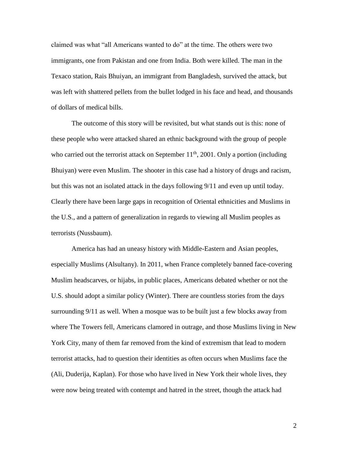claimed was what "all Americans wanted to do" at the time. The others were two immigrants, one from Pakistan and one from India. Both were killed. The man in the Texaco station, Rais Bhuiyan, an immigrant from Bangladesh, survived the attack, but was left with shattered pellets from the bullet lodged in his face and head, and thousands of dollars of medical bills.

The outcome of this story will be revisited, but what stands out is this: none of these people who were attacked shared an ethnic background with the group of people who carried out the terrorist attack on September  $11<sup>th</sup>$ , 2001. Only a portion (including Bhuiyan) were even Muslim. The shooter in this case had a history of drugs and racism, but this was not an isolated attack in the days following 9/11 and even up until today. Clearly there have been large gaps in recognition of Oriental ethnicities and Muslims in the U.S., and a pattern of generalization in regards to viewing all Muslim peoples as terrorists (Nussbaum).

America has had an uneasy history with Middle-Eastern and Asian peoples, especially Muslims (Alsultany). In 2011, when France completely banned face-covering Muslim headscarves, or hijabs, in public places, Americans debated whether or not the U.S. should adopt a similar policy (Winter). There are countless stories from the days surrounding 9/11 as well. When a mosque was to be built just a few blocks away from where The Towers fell, Americans clamored in outrage, and those Muslims living in New York City, many of them far removed from the kind of extremism that lead to modern terrorist attacks, had to question their identities as often occurs when Muslims face the (Ali, Duderija, Kaplan). For those who have lived in New York their whole lives, they were now being treated with contempt and hatred in the street, though the attack had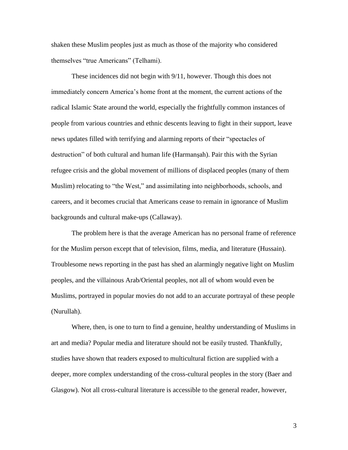shaken these Muslim peoples just as much as those of the majority who considered themselves "true Americans" (Telhami).

These incidences did not begin with 9/11, however. Though this does not immediately concern America's home front at the moment, the current actions of the radical Islamic State around the world, especially the frightfully common instances of people from various countries and ethnic descents leaving to fight in their support, leave news updates filled with terrifying and alarming reports of their "spectacles of destruction" of both cultural and human life (Harmanşah). Pair this with the Syrian refugee crisis and the global movement of millions of displaced peoples (many of them Muslim) relocating to "the West," and assimilating into neighborhoods, schools, and careers, and it becomes crucial that Americans cease to remain in ignorance of Muslim backgrounds and cultural make-ups (Callaway).

The problem here is that the average American has no personal frame of reference for the Muslim person except that of television, films, media, and literature (Hussain). Troublesome news reporting in the past has shed an alarmingly negative light on Muslim peoples, and the villainous Arab/Oriental peoples, not all of whom would even be Muslims, portrayed in popular movies do not add to an accurate portrayal of these people (Nurullah).

Where, then, is one to turn to find a genuine, healthy understanding of Muslims in art and media? Popular media and literature should not be easily trusted. Thankfully, studies have shown that readers exposed to multicultural fiction are supplied with a deeper, more complex understanding of the cross-cultural peoples in the story (Baer and Glasgow). Not all cross-cultural literature is accessible to the general reader, however,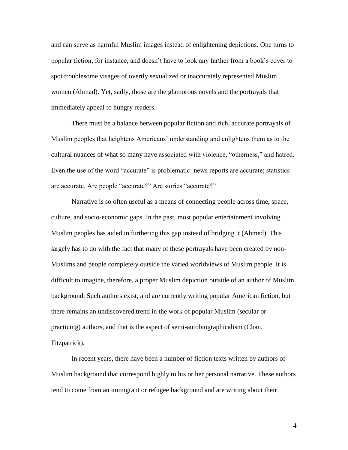and can serve as harmful Muslim images instead of enlightening depictions. One turns to popular fiction, for instance, and doesn't have to look any farther from a book's cover to spot troublesome visages of overtly sexualized or inaccurately represented Muslim women (Ahmad). Yet, sadly, those are the glamorous novels and the portrayals that immediately appeal to hungry readers.

There must be a balance between popular fiction and rich, accurate portrayals of Muslim peoples that heightens Americans' understanding and enlightens them as to the cultural nuances of what so many have associated with violence, "otherness," and hatred. Even the use of the word "accurate" is problematic: news reports are accurate; statistics are accurate. Are people "accurate?" Are stories "accurate?"

Narrative is so often useful as a means of connecting people across time, space, culture, and socio-economic gaps. In the past, most popular entertainment involving Muslim peoples has aided in furthering this gap instead of bridging it (Ahmed). This largely has to do with the fact that many of these portrayals have been created by non-Muslims and people completely outside the varied worldviews of Muslim people. It is difficult to imagine, therefore, a proper Muslim depiction outside of an author of Muslim background. Such authors exist, and are currently writing popular American fiction, but there remains an undiscovered trend in the work of popular Muslim (secular or practicing) authors, and that is the aspect of semi-autobiographicalism (Chan, Fitzpatrick).

In recent years, there have been a number of fiction texts written by authors of Muslim background that correspond highly to his or her personal narrative. These authors tend to come from an immigrant or refugee background and are writing about their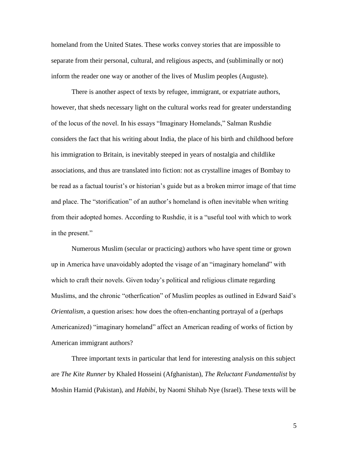homeland from the United States. These works convey stories that are impossible to separate from their personal, cultural, and religious aspects, and (subliminally or not) inform the reader one way or another of the lives of Muslim peoples (Auguste).

There is another aspect of texts by refugee, immigrant, or expatriate authors, however, that sheds necessary light on the cultural works read for greater understanding of the locus of the novel. In his essays "Imaginary Homelands," Salman Rushdie considers the fact that his writing about India, the place of his birth and childhood before his immigration to Britain, is inevitably steeped in years of nostalgia and childlike associations, and thus are translated into fiction: not as crystalline images of Bombay to be read as a factual tourist's or historian's guide but as a broken mirror image of that time and place. The "storification" of an author's homeland is often inevitable when writing from their adopted homes. According to Rushdie, it is a "useful tool with which to work in the present."

Numerous Muslim (secular or practicing) authors who have spent time or grown up in America have unavoidably adopted the visage of an "imaginary homeland" with which to craft their novels. Given today's political and religious climate regarding Muslims, and the chronic "otherfication" of Muslim peoples as outlined in Edward Said's *Orientalism*, a question arises: how does the often-enchanting portrayal of a (perhaps Americanized) "imaginary homeland" affect an American reading of works of fiction by American immigrant authors?

Three important texts in particular that lend for interesting analysis on this subject are *The Kite Runner* by Khaled Hosseini (Afghanistan), *The Reluctant Fundamentalist* by Moshin Hamid (Pakistan), and *Habibi*, by Naomi Shihab Nye (Israel). These texts will be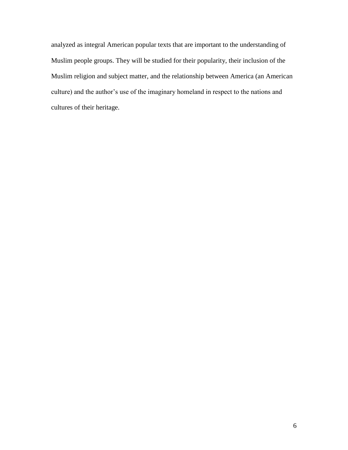analyzed as integral American popular texts that are important to the understanding of Muslim people groups. They will be studied for their popularity, their inclusion of the Muslim religion and subject matter, and the relationship between America (an American culture) and the author's use of the imaginary homeland in respect to the nations and cultures of their heritage.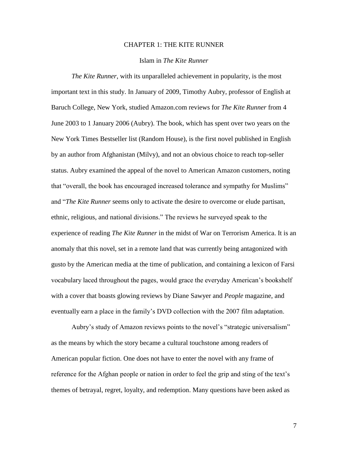## CHAPTER 1: THE KITE RUNNER

## Islam in *The Kite Runner*

*The Kite Runner*, with its unparalleled achievement in popularity, is the most important text in this study. In January of 2009, Timothy Aubry, professor of English at Baruch College, New York, studied Amazon.com reviews for *The Kite Runner* from 4 June 2003 to 1 January 2006 (Aubry). The book, which has spent over two years on the New York Times Bestseller list (Random House), is the first novel published in English by an author from Afghanistan (Milvy), and not an obvious choice to reach top-seller status. Aubry examined the appeal of the novel to American Amazon customers, noting that "overall, the book has encouraged increased tolerance and sympathy for Muslims" and "*The Kite Runner* seems only to activate the desire to overcome or elude partisan, ethnic, religious, and national divisions." The reviews he surveyed speak to the experience of reading *The Kite Runner* in the midst of War on Terrorism America. It is an anomaly that this novel, set in a remote land that was currently being antagonized with gusto by the American media at the time of publication, and containing a lexicon of Farsi vocabulary laced throughout the pages, would grace the everyday American's bookshelf with a cover that boasts glowing reviews by Diane Sawyer and *People* magazine, and eventually earn a place in the family's DVD collection with the 2007 film adaptation.

Aubry's study of Amazon reviews points to the novel's "strategic universalism" as the means by which the story became a cultural touchstone among readers of American popular fiction. One does not have to enter the novel with any frame of reference for the Afghan people or nation in order to feel the grip and sting of the text's themes of betrayal, regret, loyalty, and redemption. Many questions have been asked as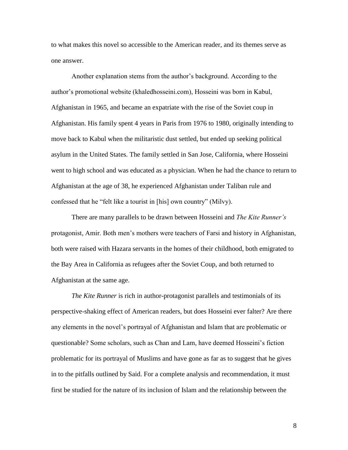to what makes this novel so accessible to the American reader, and its themes serve as one answer.

Another explanation stems from the author's background. According to the author's promotional website (khaledhosseini.com), Hosseini was born in Kabul, Afghanistan in 1965, and became an expatriate with the rise of the Soviet coup in Afghanistan. His family spent 4 years in Paris from 1976 to 1980, originally intending to move back to Kabul when the militaristic dust settled, but ended up seeking political asylum in the United States. The family settled in San Jose, California, where Hosseini went to high school and was educated as a physician. When he had the chance to return to Afghanistan at the age of 38, he experienced Afghanistan under Taliban rule and confessed that he "felt like a tourist in [his] own country" (Milvy).

There are many parallels to be drawn between Hosseini and *The Kite Runner's* protagonist, Amir. Both men's mothers were teachers of Farsi and history in Afghanistan, both were raised with Hazara servants in the homes of their childhood, both emigrated to the Bay Area in California as refugees after the Soviet Coup, and both returned to Afghanistan at the same age.

*The Kite Runner* is rich in author-protagonist parallels and testimonials of its perspective-shaking effect of American readers, but does Hosseini ever falter? Are there any elements in the novel's portrayal of Afghanistan and Islam that are problematic or questionable? Some scholars, such as Chan and Lam, have deemed Hosseini's fiction problematic for its portrayal of Muslims and have gone as far as to suggest that he gives in to the pitfalls outlined by Said. For a complete analysis and recommendation, it must first be studied for the nature of its inclusion of Islam and the relationship between the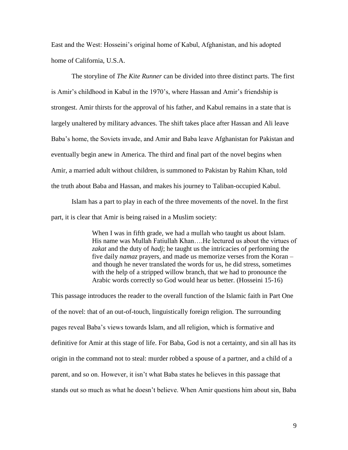East and the West: Hosseini's original home of Kabul, Afghanistan, and his adopted home of California, U.S.A.

The storyline of *The Kite Runner* can be divided into three distinct parts. The first is Amir's childhood in Kabul in the 1970's, where Hassan and Amir's friendship is strongest. Amir thirsts for the approval of his father, and Kabul remains in a state that is largely unaltered by military advances. The shift takes place after Hassan and Ali leave Baba's home, the Soviets invade, and Amir and Baba leave Afghanistan for Pakistan and eventually begin anew in America. The third and final part of the novel begins when Amir, a married adult without children, is summoned to Pakistan by Rahim Khan, told the truth about Baba and Hassan, and makes his journey to Taliban-occupied Kabul.

Islam has a part to play in each of the three movements of the novel. In the first part, it is clear that Amir is being raised in a Muslim society:

> When I was in fifth grade, we had a mullah who taught us about Islam. His name was Mullah Fatiullah Khan….He lectured us about the virtues of *zakat* and the duty of *hadj*; he taught us the intricacies of performing the five daily *namaz* prayers, and made us memorize verses from the Koran – and though he never translated the words for us, he did stress, sometimes with the help of a stripped willow branch, that we had to pronounce the Arabic words correctly so God would hear us better. (Hosseini 15-16)

This passage introduces the reader to the overall function of the Islamic faith in Part One of the novel: that of an out-of-touch, linguistically foreign religion. The surrounding pages reveal Baba's views towards Islam, and all religion, which is formative and definitive for Amir at this stage of life. For Baba, God is not a certainty, and sin all has its origin in the command not to steal: murder robbed a spouse of a partner, and a child of a parent, and so on. However, it isn't what Baba states he believes in this passage that stands out so much as what he doesn't believe. When Amir questions him about sin, Baba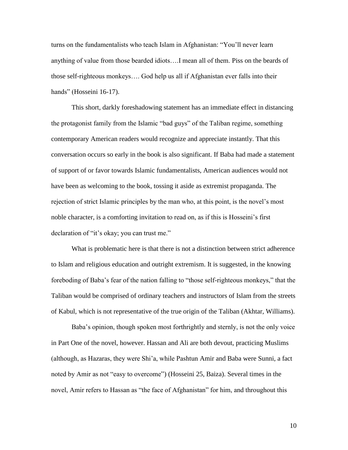turns on the fundamentalists who teach Islam in Afghanistan: "You'll never learn anything of value from those bearded idiots….I mean all of them. Piss on the beards of those self-righteous monkeys…. God help us all if Afghanistan ever falls into their hands" (Hosseini 16-17).

This short, darkly foreshadowing statement has an immediate effect in distancing the protagonist family from the Islamic "bad guys" of the Taliban regime, something contemporary American readers would recognize and appreciate instantly. That this conversation occurs so early in the book is also significant. If Baba had made a statement of support of or favor towards Islamic fundamentalists, American audiences would not have been as welcoming to the book, tossing it aside as extremist propaganda. The rejection of strict Islamic principles by the man who, at this point, is the novel's most noble character, is a comforting invitation to read on, as if this is Hosseini's first declaration of "it's okay; you can trust me."

What is problematic here is that there is not a distinction between strict adherence to Islam and religious education and outright extremism. It is suggested, in the knowing foreboding of Baba's fear of the nation falling to "those self-righteous monkeys," that the Taliban would be comprised of ordinary teachers and instructors of Islam from the streets of Kabul, which is not representative of the true origin of the Taliban (Akhtar, Williams).

Baba's opinion, though spoken most forthrightly and sternly, is not the only voice in Part One of the novel, however. Hassan and Ali are both devout, practicing Muslims (although, as Hazaras, they were Shi'a, while Pashtun Amir and Baba were Sunni, a fact noted by Amir as not "easy to overcome") (Hosseini 25, Baiza). Several times in the novel, Amir refers to Hassan as "the face of Afghanistan" for him, and throughout this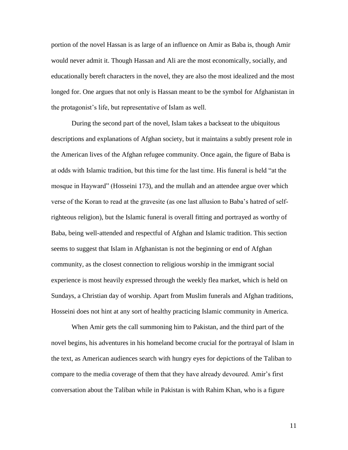portion of the novel Hassan is as large of an influence on Amir as Baba is, though Amir would never admit it. Though Hassan and Ali are the most economically, socially, and educationally bereft characters in the novel, they are also the most idealized and the most longed for. One argues that not only is Hassan meant to be the symbol for Afghanistan in the protagonist's life, but representative of Islam as well.

During the second part of the novel, Islam takes a backseat to the ubiquitous descriptions and explanations of Afghan society, but it maintains a subtly present role in the American lives of the Afghan refugee community. Once again, the figure of Baba is at odds with Islamic tradition, but this time for the last time. His funeral is held "at the mosque in Hayward" (Hosseini 173), and the mullah and an attendee argue over which verse of the Koran to read at the gravesite (as one last allusion to Baba's hatred of selfrighteous religion), but the Islamic funeral is overall fitting and portrayed as worthy of Baba, being well-attended and respectful of Afghan and Islamic tradition. This section seems to suggest that Islam in Afghanistan is not the beginning or end of Afghan community, as the closest connection to religious worship in the immigrant social experience is most heavily expressed through the weekly flea market, which is held on Sundays, a Christian day of worship. Apart from Muslim funerals and Afghan traditions, Hosseini does not hint at any sort of healthy practicing Islamic community in America.

When Amir gets the call summoning him to Pakistan, and the third part of the novel begins, his adventures in his homeland become crucial for the portrayal of Islam in the text, as American audiences search with hungry eyes for depictions of the Taliban to compare to the media coverage of them that they have already devoured. Amir's first conversation about the Taliban while in Pakistan is with Rahim Khan, who is a figure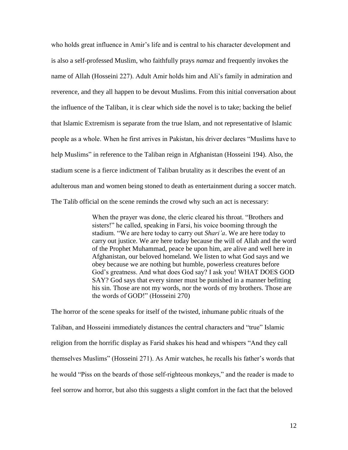who holds great influence in Amir's life and is central to his character development and is also a self-professed Muslim, who faithfully prays *namaz* and frequently invokes the name of Allah (Hosseini 227). Adult Amir holds him and Ali's family in admiration and reverence, and they all happen to be devout Muslims. From this initial conversation about the influence of the Taliban, it is clear which side the novel is to take; backing the belief that Islamic Extremism is separate from the true Islam, and not representative of Islamic people as a whole. When he first arrives in Pakistan, his driver declares "Muslims have to help Muslims" in reference to the Taliban reign in Afghanistan (Hosseini 194). Also, the stadium scene is a fierce indictment of Taliban brutality as it describes the event of an adulterous man and women being stoned to death as entertainment during a soccer match. The Talib official on the scene reminds the crowd why such an act is necessary:

> When the prayer was done, the cleric cleared his throat. "Brothers and sisters!" he called, speaking in Farsi, his voice booming through the stadium. "We are here today to carry out *Shari'a*. We are here today to carry out justice. We are here today because the will of Allah and the word of the Prophet Muhammad, peace be upon him, are alive and well here in Afghanistan, our beloved homeland. We listen to what God says and we obey because we are nothing but humble, powerless creatures before God's greatness. And what does God say? I ask you! WHAT DOES GOD SAY? God says that every sinner must be punished in a manner befitting his sin. Those are not my words, nor the words of my brothers. Those are the words of GOD!" (Hosseini 270)

The horror of the scene speaks for itself of the twisted, inhumane public rituals of the Taliban, and Hosseini immediately distances the central characters and "true" Islamic religion from the horrific display as Farid shakes his head and whispers "And they call themselves Muslims" (Hosseini 271). As Amir watches, he recalls his father's words that he would "Piss on the beards of those self-righteous monkeys," and the reader is made to feel sorrow and horror, but also this suggests a slight comfort in the fact that the beloved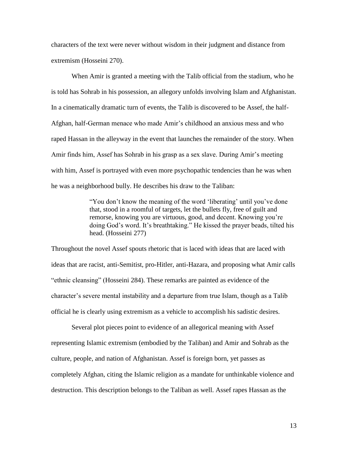characters of the text were never without wisdom in their judgment and distance from extremism (Hosseini 270).

When Amir is granted a meeting with the Talib official from the stadium, who he is told has Sohrab in his possession, an allegory unfolds involving Islam and Afghanistan. In a cinematically dramatic turn of events, the Talib is discovered to be Assef, the half-Afghan, half-German menace who made Amir's childhood an anxious mess and who raped Hassan in the alleyway in the event that launches the remainder of the story. When Amir finds him, Assef has Sohrab in his grasp as a sex slave. During Amir's meeting with him, Assef is portrayed with even more psychopathic tendencies than he was when he was a neighborhood bully. He describes his draw to the Taliban:

> "You don't know the meaning of the word 'liberating' until you've done that, stood in a roomful of targets, let the bullets fly, free of guilt and remorse, knowing you are virtuous, good, and decent. Knowing you're doing God's word. It's breathtaking." He kissed the prayer beads, tilted his head. (Hosseini 277)

Throughout the novel Assef spouts rhetoric that is laced with ideas that are laced with ideas that are racist, anti-Semitist, pro-Hitler, anti-Hazara, and proposing what Amir calls "ethnic cleansing" (Hosseini 284). These remarks are painted as evidence of the character's severe mental instability and a departure from true Islam, though as a Talib official he is clearly using extremism as a vehicle to accomplish his sadistic desires.

Several plot pieces point to evidence of an allegorical meaning with Assef representing Islamic extremism (embodied by the Taliban) and Amir and Sohrab as the culture, people, and nation of Afghanistan. Assef is foreign born, yet passes as completely Afghan, citing the Islamic religion as a mandate for unthinkable violence and destruction. This description belongs to the Taliban as well. Assef rapes Hassan as the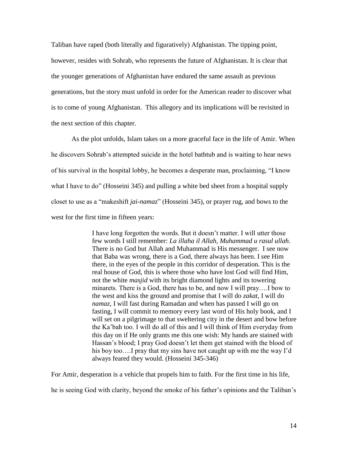Taliban have raped (both literally and figuratively) Afghanistan. The tipping point, however, resides with Sohrab, who represents the future of Afghanistan. It is clear that the younger generations of Afghanistan have endured the same assault as previous generations, but the story must unfold in order for the American reader to discover what is to come of young Afghanistan. This allegory and its implications will be revisited in the next section of this chapter.

As the plot unfolds, Islam takes on a more graceful face in the life of Amir. When he discovers Sohrab's attempted suicide in the hotel bathtub and is waiting to hear news of his survival in the hospital lobby, he becomes a desperate man, proclaiming, "I know what I have to do" (Hosseini 345) and pulling a white bed sheet from a hospital supply closet to use as a "makeshift *jai-namaz*" (Hosseini 345), or prayer rug, and bows to the west for the first time in fifteen years:

> I have long forgotten the words. But it doesn't matter. I will utter those few words I still remember: *La illaha il Allah, Muhammad u rasul ullah*. There is no God but Allah and Muhammad is His messenger. I see now that Baba was wrong, there is a God, there always has been. I see Him there, in the eyes of the people in this corridor of desperation. This is the real house of God, this is where those who have lost God will find Him, not the white *masjid* with its bright diamond lights and its towering minarets. There is a God, there has to be, and now I will pray….I bow to the west and kiss the ground and promise that I will do *zakat*, I will do *namaz*, I will fast during Ramadan and when has passed I will go on fasting, I will commit to memory every last word of His holy book, and I will set on a pilgrimage to that sweltering city in the desert and bow before the Ka'bah too. I will do all of this and I will think of Him everyday from this day on if He only grants me this one wish: My hands are stained with Hassan's blood; I pray God doesn't let them get stained with the blood of his boy too.... I pray that my sins have not caught up with me the way I'd always feared they would. (Hosseini 345-346)

For Amir, desperation is a vehicle that propels him to faith. For the first time in his life,

he is seeing God with clarity, beyond the smoke of his father's opinions and the Taliban's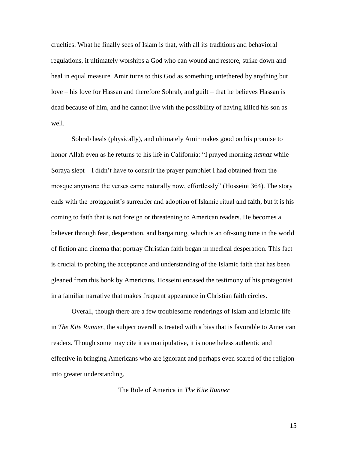cruelties. What he finally sees of Islam is that, with all its traditions and behavioral regulations, it ultimately worships a God who can wound and restore, strike down and heal in equal measure. Amir turns to this God as something untethered by anything but love – his love for Hassan and therefore Sohrab, and guilt – that he believes Hassan is dead because of him, and he cannot live with the possibility of having killed his son as well.

Sohrab heals (physically), and ultimately Amir makes good on his promise to honor Allah even as he returns to his life in California: "I prayed morning *namaz* while Soraya slept – I didn't have to consult the prayer pamphlet I had obtained from the mosque anymore; the verses came naturally now, effortlessly" (Hosseini 364). The story ends with the protagonist's surrender and adoption of Islamic ritual and faith, but it is his coming to faith that is not foreign or threatening to American readers. He becomes a believer through fear, desperation, and bargaining, which is an oft-sung tune in the world of fiction and cinema that portray Christian faith began in medical desperation. This fact is crucial to probing the acceptance and understanding of the Islamic faith that has been gleaned from this book by Americans. Hosseini encased the testimony of his protagonist in a familiar narrative that makes frequent appearance in Christian faith circles.

Overall, though there are a few troublesome renderings of Islam and Islamic life in *The Kite Runner,* the subject overall is treated with a bias that is favorable to American readers. Though some may cite it as manipulative, it is nonetheless authentic and effective in bringing Americans who are ignorant and perhaps even scared of the religion into greater understanding.

The Role of America in *The Kite Runner*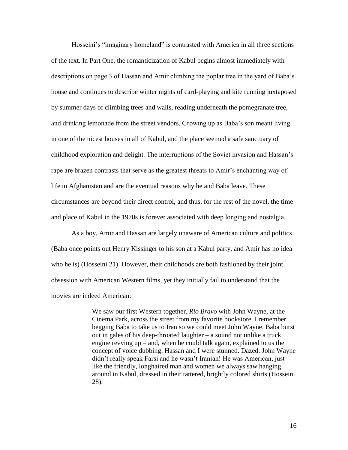Hosseini's "imaginary homeland" is contrasted with America in all three sections of the text. In Part One, the romanticization of Kabul begins almost immediately with descriptions on page 3 of Hassan and Amir climbing the poplar tree in the yard of Baba's house and continues to describe winter nights of card-playing and kite running juxtaposed by summer days of climbing trees and walls, reading underneath the pomegranate tree, and drinking lemonade from the street vendors. Growing up as Baba's son meant living in one of the nicest houses in all of Kabul, and the place seemed a safe sanctuary of childhood exploration and delight. The interruptions of the Soviet invasion and Hassan's rape are brazen contrasts that serve as the greatest threats to Amir's enchanting way of life in Afghanistan and are the eventual reasons why he and Baba leave. These circumstances are beyond their direct control, and thus, for the rest of the novel, the time and place of Kabul in the 1970s is forever associated with deep longing and nostalgia.

As a boy, Amir and Hassan are largely unaware of American culture and politics (Baba once points out Henry Kissinger to his son at a Kabul party, and Amir has no idea who he is) (Hosseini 21). However, their childhoods are both fashioned by their joint obsession with American Western films, yet they initially fail to understand that the movies are indeed American:

> We saw our first Western together, *Rio Bravo* with John Wayne, at the Cinema Park, across the street from my favorite bookstore. I remember begging Baba to take us to Iran so we could meet John Wayne. Baba burst out in gales of his deep-throated laughter – a sound not unlike a truck engine revving  $up$  – and, when he could talk again, explained to us the concept of voice dubbing. Hassan and I were stunned. Dazed. John Wayne didn't really speak Farsi and he wasn't Iranian! He was American, just like the friendly, longhaired man and women we always saw hanging around in Kabul, dressed in their tattered, brightly colored shirts (Hosseini 28).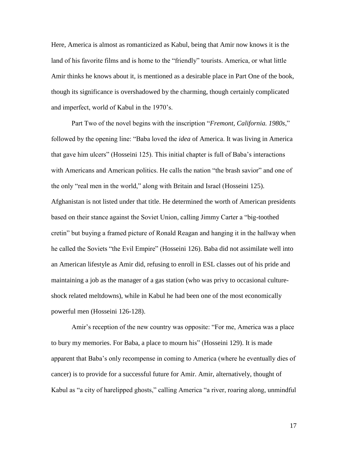Here, America is almost as romanticized as Kabul, being that Amir now knows it is the land of his favorite films and is home to the "friendly" tourists. America, or what little Amir thinks he knows about it, is mentioned as a desirable place in Part One of the book, though its significance is overshadowed by the charming, though certainly complicated and imperfect, world of Kabul in the 1970's.

Part Two of the novel begins with the inscription "*Fremont, California. 1980s*," followed by the opening line: "Baba loved the *idea* of America. It was living in America that gave him ulcers" (Hosseini 125). This initial chapter is full of Baba's interactions with Americans and American politics. He calls the nation "the brash savior" and one of the only "real men in the world," along with Britain and Israel (Hosseini 125). Afghanistan is not listed under that title. He determined the worth of American presidents based on their stance against the Soviet Union, calling Jimmy Carter a "big-toothed cretin" but buying a framed picture of Ronald Reagan and hanging it in the hallway when he called the Soviets "the Evil Empire" (Hosseini 126). Baba did not assimilate well into an American lifestyle as Amir did, refusing to enroll in ESL classes out of his pride and maintaining a job as the manager of a gas station (who was privy to occasional cultureshock related meltdowns), while in Kabul he had been one of the most economically powerful men (Hosseini 126-128).

Amir's reception of the new country was opposite: "For me, America was a place to bury my memories. For Baba, a place to mourn his" (Hosseini 129). It is made apparent that Baba's only recompense in coming to America (where he eventually dies of cancer) is to provide for a successful future for Amir. Amir, alternatively, thought of Kabul as "a city of harelipped ghosts," calling America "a river, roaring along, unmindful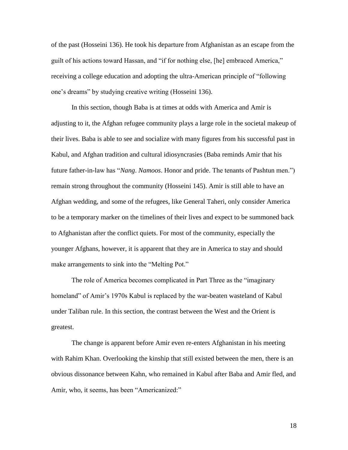of the past (Hosseini 136). He took his departure from Afghanistan as an escape from the guilt of his actions toward Hassan, and "if for nothing else, [he] embraced America," receiving a college education and adopting the ultra-American principle of "following one's dreams" by studying creative writing (Hosseini 136).

In this section, though Baba is at times at odds with America and Amir is adjusting to it, the Afghan refugee community plays a large role in the societal makeup of their lives. Baba is able to see and socialize with many figures from his successful past in Kabul, and Afghan tradition and cultural idiosyncrasies (Baba reminds Amir that his future father-in-law has "*Nang*. *Namoos*. Honor and pride. The tenants of Pashtun men.") remain strong throughout the community (Hosseini 145). Amir is still able to have an Afghan wedding, and some of the refugees, like General Taheri, only consider America to be a temporary marker on the timelines of their lives and expect to be summoned back to Afghanistan after the conflict quiets. For most of the community, especially the younger Afghans, however, it is apparent that they are in America to stay and should make arrangements to sink into the "Melting Pot."

The role of America becomes complicated in Part Three as the "imaginary homeland" of Amir's 1970s Kabul is replaced by the war-beaten wasteland of Kabul under Taliban rule. In this section, the contrast between the West and the Orient is greatest.

The change is apparent before Amir even re-enters Afghanistan in his meeting with Rahim Khan. Overlooking the kinship that still existed between the men, there is an obvious dissonance between Kahn, who remained in Kabul after Baba and Amir fled, and Amir, who, it seems, has been "Americanized:"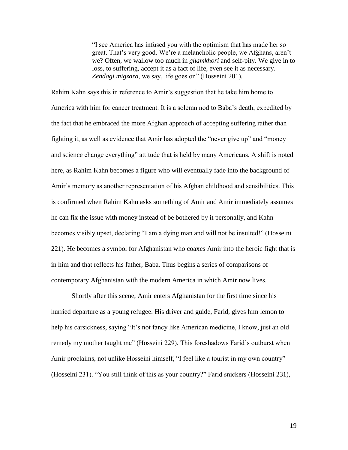"I see America has infused you with the optimism that has made her so great. That's very good. We're a melancholic people, we Afghans, aren't we? Often, we wallow too much in *ghamkhori* and self-pity. We give in to loss, to suffering, accept it as a fact of life, even see it as necessary. *Zendagi migzara*, we say, life goes on" (Hosseini 201).

Rahim Kahn says this in reference to Amir's suggestion that he take him home to America with him for cancer treatment. It is a solemn nod to Baba's death, expedited by the fact that he embraced the more Afghan approach of accepting suffering rather than fighting it, as well as evidence that Amir has adopted the "never give up" and "money and science change everything" attitude that is held by many Americans. A shift is noted here, as Rahim Kahn becomes a figure who will eventually fade into the background of Amir's memory as another representation of his Afghan childhood and sensibilities. This is confirmed when Rahim Kahn asks something of Amir and Amir immediately assumes he can fix the issue with money instead of be bothered by it personally, and Kahn becomes visibly upset, declaring "I am a dying man and will not be insulted!" (Hosseini 221). He becomes a symbol for Afghanistan who coaxes Amir into the heroic fight that is in him and that reflects his father, Baba. Thus begins a series of comparisons of contemporary Afghanistan with the modern America in which Amir now lives.

Shortly after this scene, Amir enters Afghanistan for the first time since his hurried departure as a young refugee. His driver and guide, Farid, gives him lemon to help his carsickness, saying "It's not fancy like American medicine, I know, just an old remedy my mother taught me" (Hosseini 229). This foreshadows Farid's outburst when Amir proclaims, not unlike Hosseini himself, "I feel like a tourist in my own country" (Hosseini 231). "You still think of this as your country?" Farid snickers (Hosseini 231),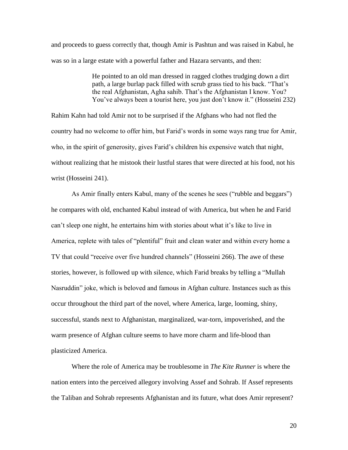and proceeds to guess correctly that, though Amir is Pashtun and was raised in Kabul, he was so in a large estate with a powerful father and Hazara servants, and then:

> He pointed to an old man dressed in ragged clothes trudging down a dirt path, a large burlap pack filled with scrub grass tied to his back. "That's the real Afghanistan, Agha sahib. That's the Afghanistan I know. You? You've always been a tourist here, you just don't know it." (Hosseini 232)

Rahim Kahn had told Amir not to be surprised if the Afghans who had not fled the country had no welcome to offer him, but Farid's words in some ways rang true for Amir, who, in the spirit of generosity, gives Farid's children his expensive watch that night, without realizing that he mistook their lustful stares that were directed at his food, not his wrist (Hosseini 241).

As Amir finally enters Kabul, many of the scenes he sees ("rubble and beggars") he compares with old, enchanted Kabul instead of with America, but when he and Farid can't sleep one night, he entertains him with stories about what it's like to live in America, replete with tales of "plentiful" fruit and clean water and within every home a TV that could "receive over five hundred channels" (Hosseini 266). The awe of these stories, however, is followed up with silence, which Farid breaks by telling a "Mullah Nasruddin" joke, which is beloved and famous in Afghan culture. Instances such as this occur throughout the third part of the novel, where America, large, looming, shiny, successful, stands next to Afghanistan, marginalized, war-torn, impoverished, and the warm presence of Afghan culture seems to have more charm and life-blood than plasticized America.

Where the role of America may be troublesome in *The Kite Runner* is where the nation enters into the perceived allegory involving Assef and Sohrab. If Assef represents the Taliban and Sohrab represents Afghanistan and its future, what does Amir represent?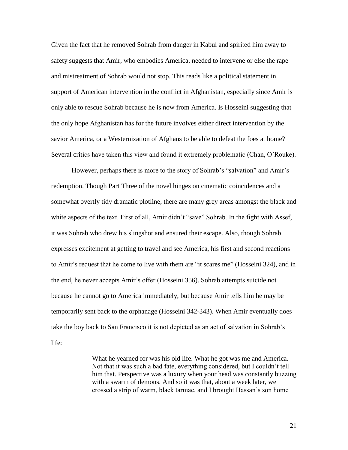Given the fact that he removed Sohrab from danger in Kabul and spirited him away to safety suggests that Amir, who embodies America, needed to intervene or else the rape and mistreatment of Sohrab would not stop. This reads like a political statement in support of American intervention in the conflict in Afghanistan, especially since Amir is only able to rescue Sohrab because he is now from America. Is Hosseini suggesting that the only hope Afghanistan has for the future involves either direct intervention by the savior America, or a Westernization of Afghans to be able to defeat the foes at home? Several critics have taken this view and found it extremely problematic (Chan, O'Rouke).

However, perhaps there is more to the story of Sohrab's "salvation" and Amir's redemption. Though Part Three of the novel hinges on cinematic coincidences and a somewhat overtly tidy dramatic plotline, there are many grey areas amongst the black and white aspects of the text. First of all, Amir didn't "save" Sohrab. In the fight with Assef, it was Sohrab who drew his slingshot and ensured their escape. Also, though Sohrab expresses excitement at getting to travel and see America, his first and second reactions to Amir's request that he come to live with them are "it scares me" (Hosseini 324), and in the end, he never accepts Amir's offer (Hosseini 356). Sohrab attempts suicide not because he cannot go to America immediately, but because Amir tells him he may be temporarily sent back to the orphanage (Hosseini 342-343). When Amir eventually does take the boy back to San Francisco it is not depicted as an act of salvation in Sohrab's life:

> What he yearned for was his old life. What he got was me and America. Not that it was such a bad fate, everything considered, but I couldn't tell him that. Perspective was a luxury when your head was constantly buzzing with a swarm of demons. And so it was that, about a week later, we crossed a strip of warm, black tarmac, and I brought Hassan's son home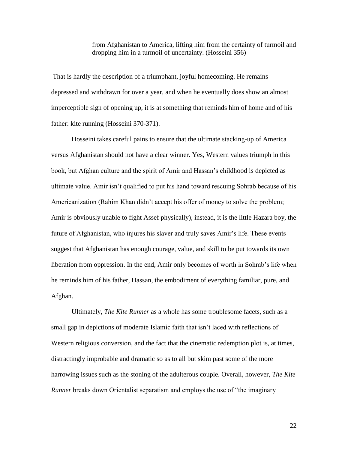from Afghanistan to America, lifting him from the certainty of turmoil and dropping him in a turmoil of uncertainty. (Hosseini 356)

That is hardly the description of a triumphant, joyful homecoming. He remains depressed and withdrawn for over a year, and when he eventually does show an almost imperceptible sign of opening up, it is at something that reminds him of home and of his father: kite running (Hosseini 370-371).

Hosseini takes careful pains to ensure that the ultimate stacking-up of America versus Afghanistan should not have a clear winner. Yes, Western values triumph in this book, but Afghan culture and the spirit of Amir and Hassan's childhood is depicted as ultimate value. Amir isn't qualified to put his hand toward rescuing Sohrab because of his Americanization (Rahim Khan didn't accept his offer of money to solve the problem; Amir is obviously unable to fight Assef physically), instead, it is the little Hazara boy, the future of Afghanistan, who injures his slaver and truly saves Amir's life. These events suggest that Afghanistan has enough courage, value, and skill to be put towards its own liberation from oppression. In the end, Amir only becomes of worth in Sohrab's life when he reminds him of his father, Hassan, the embodiment of everything familiar, pure, and Afghan.

Ultimately, *The Kite Runner* as a whole has some troublesome facets, such as a small gap in depictions of moderate Islamic faith that isn't laced with reflections of Western religious conversion, and the fact that the cinematic redemption plot is, at times, distractingly improbable and dramatic so as to all but skim past some of the more harrowing issues such as the stoning of the adulterous couple. Overall, however, *The Kite Runner* breaks down Orientalist separatism and employs the use of "the imaginary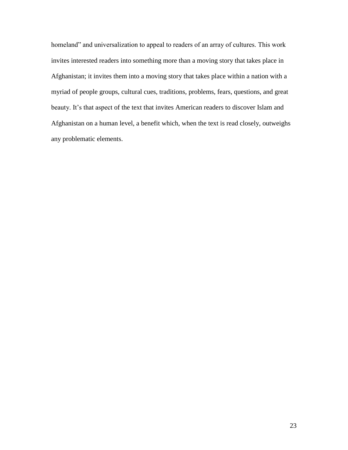homeland" and universalization to appeal to readers of an array of cultures. This work invites interested readers into something more than a moving story that takes place in Afghanistan; it invites them into a moving story that takes place within a nation with a myriad of people groups, cultural cues, traditions, problems, fears, questions, and great beauty. It's that aspect of the text that invites American readers to discover Islam and Afghanistan on a human level, a benefit which, when the text is read closely, outweighs any problematic elements.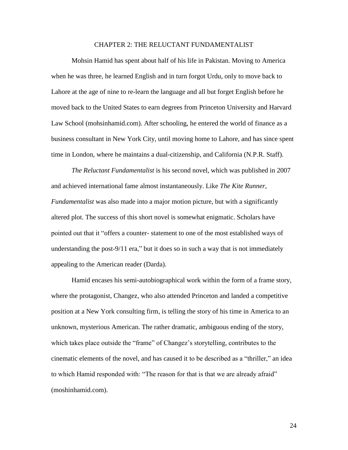## CHAPTER 2: THE RELUCTANT FUNDAMENTALIST

Mohsin Hamid has spent about half of his life in Pakistan. Moving to America when he was three, he learned English and in turn forgot Urdu, only to move back to Lahore at the age of nine to re-learn the language and all but forget English before he moved back to the United States to earn degrees from Princeton University and Harvard Law School (mohsinhamid.com). After schooling, he entered the world of finance as a business consultant in New York City, until moving home to Lahore, and has since spent time in London, where he maintains a dual-citizenship, and California (N.P.R. Staff).

*The Reluctant Fundamentalist* is his second novel, which was published in 2007 and achieved international fame almost instantaneously. Like *The Kite Runner*, *Fundamentalist* was also made into a major motion picture, but with a significantly altered plot. The success of this short novel is somewhat enigmatic. Scholars have pointed out that it "offers a counter- statement to one of the most established ways of understanding the post-9/11 era," but it does so in such a way that is not immediately appealing to the American reader (Darda).

Hamid encases his semi-autobiographical work within the form of a frame story, where the protagonist, Changez, who also attended Princeton and landed a competitive position at a New York consulting firm, is telling the story of his time in America to an unknown, mysterious American. The rather dramatic, ambiguous ending of the story, which takes place outside the "frame" of Changez's storytelling, contributes to the cinematic elements of the novel, and has caused it to be described as a "thriller," an idea to which Hamid responded with: "The reason for that is that we are already afraid" (moshinhamid.com).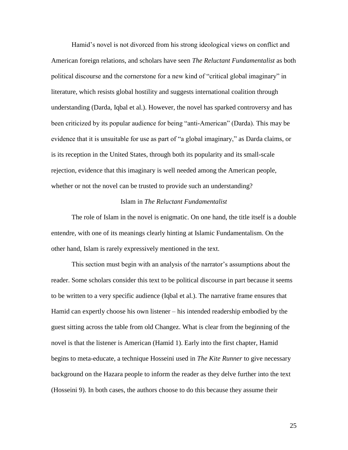Hamid's novel is not divorced from his strong ideological views on conflict and American foreign relations, and scholars have seen *The Reluctant Fundamentalist* as both political discourse and the cornerstone for a new kind of "critical global imaginary" in literature, which resists global hostility and suggests international coalition through understanding (Darda, Iqbal et al.). However, the novel has sparked controversy and has been criticized by its popular audience for being "anti-American" (Darda). This may be evidence that it is unsuitable for use as part of "a global imaginary," as Darda claims, or is its reception in the United States, through both its popularity and its small-scale rejection, evidence that this imaginary is well needed among the American people, whether or not the novel can be trusted to provide such an understanding?

## Islam in *The Reluctant Fundamentalist*

The role of Islam in the novel is enigmatic. On one hand, the title itself is a double entendre, with one of its meanings clearly hinting at Islamic Fundamentalism. On the other hand, Islam is rarely expressively mentioned in the text.

This section must begin with an analysis of the narrator's assumptions about the reader. Some scholars consider this text to be political discourse in part because it seems to be written to a very specific audience (Iqbal et al.). The narrative frame ensures that Hamid can expertly choose his own listener – his intended readership embodied by the guest sitting across the table from old Changez. What is clear from the beginning of the novel is that the listener is American (Hamid 1). Early into the first chapter, Hamid begins to meta-educate, a technique Hosseini used in *The Kite Runner* to give necessary background on the Hazara people to inform the reader as they delve further into the text (Hosseini 9). In both cases, the authors choose to do this because they assume their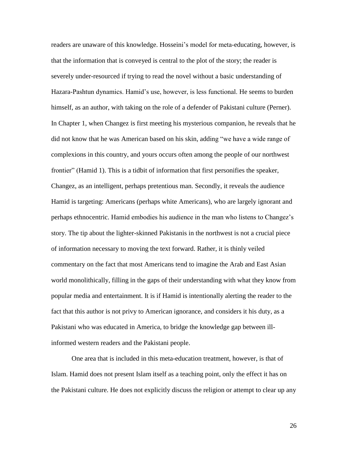readers are unaware of this knowledge. Hosseini's model for meta-educating, however, is that the information that is conveyed is central to the plot of the story; the reader is severely under-resourced if trying to read the novel without a basic understanding of Hazara-Pashtun dynamics. Hamid's use, however, is less functional. He seems to burden himself, as an author, with taking on the role of a defender of Pakistani culture (Perner). In Chapter 1, when Changez is first meeting his mysterious companion, he reveals that he did not know that he was American based on his skin, adding "we have a wide range of complexions in this country, and yours occurs often among the people of our northwest frontier" (Hamid 1). This is a tidbit of information that first personifies the speaker, Changez, as an intelligent, perhaps pretentious man. Secondly, it reveals the audience Hamid is targeting: Americans (perhaps white Americans), who are largely ignorant and perhaps ethnocentric. Hamid embodies his audience in the man who listens to Changez's story. The tip about the lighter-skinned Pakistanis in the northwest is not a crucial piece of information necessary to moving the text forward. Rather, it is thinly veiled commentary on the fact that most Americans tend to imagine the Arab and East Asian world monolithically, filling in the gaps of their understanding with what they know from popular media and entertainment. It is if Hamid is intentionally alerting the reader to the fact that this author is not privy to American ignorance, and considers it his duty, as a Pakistani who was educated in America, to bridge the knowledge gap between illinformed western readers and the Pakistani people.

One area that is included in this meta-education treatment, however, is that of Islam. Hamid does not present Islam itself as a teaching point, only the effect it has on the Pakistani culture. He does not explicitly discuss the religion or attempt to clear up any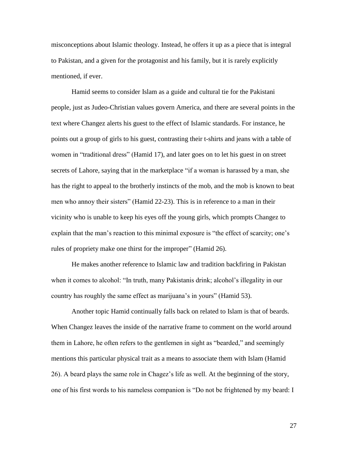misconceptions about Islamic theology. Instead, he offers it up as a piece that is integral to Pakistan, and a given for the protagonist and his family, but it is rarely explicitly mentioned, if ever.

Hamid seems to consider Islam as a guide and cultural tie for the Pakistani people, just as Judeo-Christian values govern America, and there are several points in the text where Changez alerts his guest to the effect of Islamic standards. For instance, he points out a group of girls to his guest, contrasting their t-shirts and jeans with a table of women in "traditional dress" (Hamid 17), and later goes on to let his guest in on street secrets of Lahore, saying that in the marketplace "if a woman is harassed by a man, she has the right to appeal to the brotherly instincts of the mob, and the mob is known to beat men who annoy their sisters" (Hamid 22-23). This is in reference to a man in their vicinity who is unable to keep his eyes off the young girls, which prompts Changez to explain that the man's reaction to this minimal exposure is "the effect of scarcity; one's rules of propriety make one thirst for the improper" (Hamid 26).

He makes another reference to Islamic law and tradition backfiring in Pakistan when it comes to alcohol: "In truth, many Pakistanis drink; alcohol's illegality in our country has roughly the same effect as marijuana's in yours" (Hamid 53).

Another topic Hamid continually falls back on related to Islam is that of beards. When Changez leaves the inside of the narrative frame to comment on the world around them in Lahore, he often refers to the gentlemen in sight as "bearded," and seemingly mentions this particular physical trait as a means to associate them with Islam (Hamid 26). A beard plays the same role in Chagez's life as well. At the beginning of the story, one of his first words to his nameless companion is "Do not be frightened by my beard: I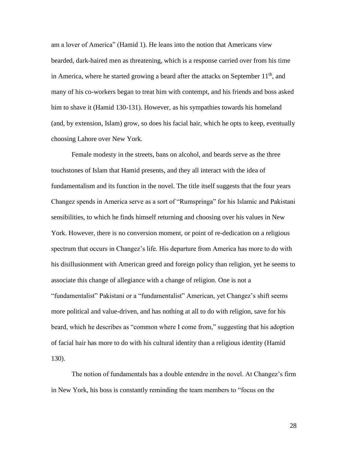am a lover of America" (Hamid 1). He leans into the notion that Americans view bearded, dark-haired men as threatening, which is a response carried over from his time in America, where he started growing a beard after the attacks on September  $11<sup>th</sup>$ , and many of his co-workers began to treat him with contempt, and his friends and boss asked him to shave it (Hamid 130-131). However, as his sympathies towards his homeland (and, by extension, Islam) grow, so does his facial hair, which he opts to keep, eventually choosing Lahore over New York.

Female modesty in the streets, bans on alcohol, and beards serve as the three touchstones of Islam that Hamid presents, and they all interact with the idea of fundamentalism and its function in the novel. The title itself suggests that the four years Changez spends in America serve as a sort of "Rumspringa" for his Islamic and Pakistani sensibilities, to which he finds himself returning and choosing over his values in New York. However, there is no conversion moment, or point of re-dedication on a religious spectrum that occurs in Changez's life. His departure from America has more to do with his disillusionment with American greed and foreign policy than religion, yet he seems to associate this change of allegiance with a change of religion. One is not a "fundamentalist" Pakistani or a "fundamentalist" American, yet Changez's shift seems more political and value-driven, and has nothing at all to do with religion, save for his beard, which he describes as "common where I come from," suggesting that his adoption of facial hair has more to do with his cultural identity than a religious identity (Hamid 130).

The notion of fundamentals has a double entendre in the novel. At Changez's firm in New York, his boss is constantly reminding the team members to "focus on the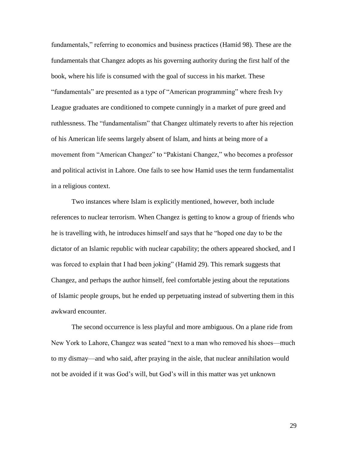fundamentals," referring to economics and business practices (Hamid 98). These are the fundamentals that Changez adopts as his governing authority during the first half of the book, where his life is consumed with the goal of success in his market. These "fundamentals" are presented as a type of "American programming" where fresh Ivy League graduates are conditioned to compete cunningly in a market of pure greed and ruthlessness. The "fundamentalism" that Changez ultimately reverts to after his rejection of his American life seems largely absent of Islam, and hints at being more of a movement from "American Changez" to "Pakistani Changez," who becomes a professor and political activist in Lahore. One fails to see how Hamid uses the term fundamentalist in a religious context.

Two instances where Islam is explicitly mentioned, however, both include references to nuclear terrorism. When Changez is getting to know a group of friends who he is travelling with, he introduces himself and says that he "hoped one day to be the dictator of an Islamic republic with nuclear capability; the others appeared shocked, and I was forced to explain that I had been joking" (Hamid 29). This remark suggests that Changez, and perhaps the author himself, feel comfortable jesting about the reputations of Islamic people groups, but he ended up perpetuating instead of subverting them in this awkward encounter.

The second occurrence is less playful and more ambiguous. On a plane ride from New York to Lahore, Changez was seated "next to a man who removed his shoes—much to my dismay—and who said, after praying in the aisle, that nuclear annihilation would not be avoided if it was God's will, but God's will in this matter was yet unknown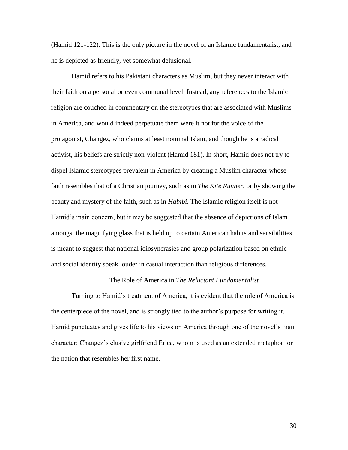(Hamid 121-122). This is the only picture in the novel of an Islamic fundamentalist, and he is depicted as friendly, yet somewhat delusional.

Hamid refers to his Pakistani characters as Muslim, but they never interact with their faith on a personal or even communal level. Instead, any references to the Islamic religion are couched in commentary on the stereotypes that are associated with Muslims in America, and would indeed perpetuate them were it not for the voice of the protagonist, Changez, who claims at least nominal Islam, and though he is a radical activist, his beliefs are strictly non-violent (Hamid 181). In short, Hamid does not try to dispel Islamic stereotypes prevalent in America by creating a Muslim character whose faith resembles that of a Christian journey, such as in *The Kite Runner*, or by showing the beauty and mystery of the faith, such as in *Habibi.* The Islamic religion itself is not Hamid's main concern, but it may be suggested that the absence of depictions of Islam amongst the magnifying glass that is held up to certain American habits and sensibilities is meant to suggest that national idiosyncrasies and group polarization based on ethnic and social identity speak louder in casual interaction than religious differences.

#### The Role of America in *The Reluctant Fundamentalist*

Turning to Hamid's treatment of America, it is evident that the role of America is the centerpiece of the novel, and is strongly tied to the author's purpose for writing it. Hamid punctuates and gives life to his views on America through one of the novel's main character: Changez's elusive girlfriend Erica, whom is used as an extended metaphor for the nation that resembles her first name.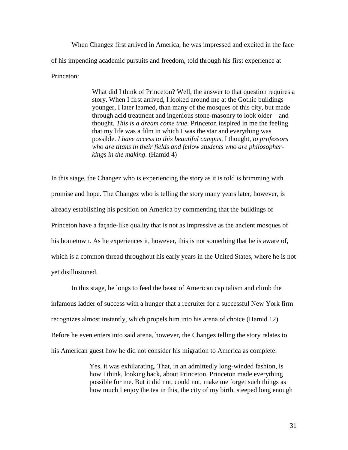When Changez first arrived in America, he was impressed and excited in the face of his impending academic pursuits and freedom, told through his first experience at Princeton:

> What did I think of Princeton? Well, the answer to that question requires a story. When I first arrived, I looked around me at the Gothic buildings younger, I later learned, than many of the mosques of this city, but made through acid treatment and ingenious stone-masonry to look older—and thought, *This is a dream come true*. Princeton inspired in me the feeling that my life was a film in which I was the star and everything was possible. *I have access to this beautiful campus*, I thought, *to professors who are titans in their fields and fellow students who are philosopherkings in the making*. (Hamid 4)

In this stage, the Changez who is experiencing the story as it is told is brimming with promise and hope. The Changez who is telling the story many years later, however, is already establishing his position on America by commenting that the buildings of Princeton have a façade-like quality that is not as impressive as the ancient mosques of his hometown. As he experiences it, however, this is not something that he is aware of, which is a common thread throughout his early years in the United States, where he is not yet disillusioned.

In this stage, he longs to feed the beast of American capitalism and climb the infamous ladder of success with a hunger that a recruiter for a successful New York firm recognizes almost instantly, which propels him into his arena of choice (Hamid 12). Before he even enters into said arena, however, the Changez telling the story relates to his American guest how he did not consider his migration to America as complete:

> Yes, it was exhilarating. That, in an admittedly long-winded fashion, is how I think, looking back, about Princeton. Princeton made everything possible for me. But it did not, could not, make me forget such things as how much I enjoy the tea in this, the city of my birth, steeped long enough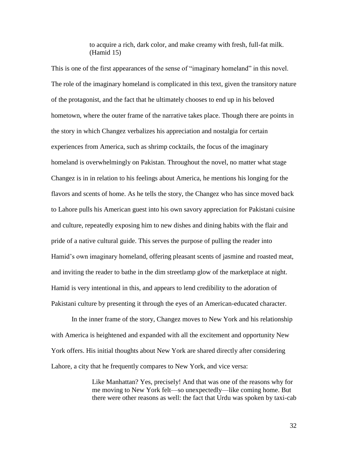to acquire a rich, dark color, and make creamy with fresh, full-fat milk. (Hamid 15)

This is one of the first appearances of the sense of "imaginary homeland" in this novel. The role of the imaginary homeland is complicated in this text, given the transitory nature of the protagonist, and the fact that he ultimately chooses to end up in his beloved hometown, where the outer frame of the narrative takes place. Though there are points in the story in which Changez verbalizes his appreciation and nostalgia for certain experiences from America, such as shrimp cocktails, the focus of the imaginary homeland is overwhelmingly on Pakistan. Throughout the novel, no matter what stage Changez is in in relation to his feelings about America, he mentions his longing for the flavors and scents of home. As he tells the story, the Changez who has since moved back to Lahore pulls his American guest into his own savory appreciation for Pakistani cuisine and culture, repeatedly exposing him to new dishes and dining habits with the flair and pride of a native cultural guide. This serves the purpose of pulling the reader into Hamid's own imaginary homeland, offering pleasant scents of jasmine and roasted meat, and inviting the reader to bathe in the dim streetlamp glow of the marketplace at night. Hamid is very intentional in this, and appears to lend credibility to the adoration of Pakistani culture by presenting it through the eyes of an American-educated character.

In the inner frame of the story, Changez moves to New York and his relationship with America is heightened and expanded with all the excitement and opportunity New York offers. His initial thoughts about New York are shared directly after considering Lahore, a city that he frequently compares to New York, and vice versa:

> Like Manhattan? Yes, precisely! And that was one of the reasons why for me moving to New York felt—so unexpectedly—like coming home. But there were other reasons as well: the fact that Urdu was spoken by taxi-cab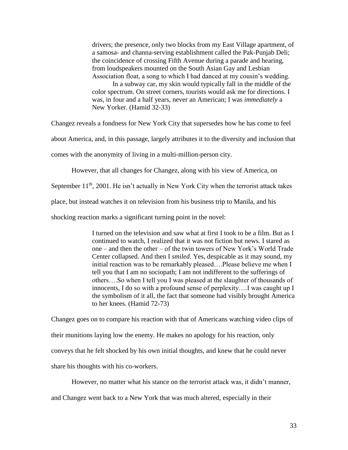drivers; the presence, only two blocks from my East Village apartment, of a samosa- and channa-serving establishment called the Pak-Punjab Deli; the coincidence of crossing Fifth Avenue during a parade and hearing, from loudspeakers mounted on the South Asian Gay and Lesbian Association float, a song to which I had danced at my cousin's wedding.

In a subway car, my skin would typically fall in the middle of the color spectrum. On street corners, tourists would ask me for directions. I was, in four and a half years, never an American; I was *immediately* a New Yorker. (Hamid 32-33)

Changez reveals a fondness for New York City that supersedes how he has come to feel

about America, and, in this passage, largely attributes it to the diversity and inclusion that

comes with the anonymity of living in a multi-million-person city.

However, that all changes for Changez, along with his view of America, on

September  $11<sup>th</sup>$ , 2001. He isn't actually in New York City when the terrorist attack takes

place, but instead watches it on television from his business trip to Manila, and his

shocking reaction marks a significant turning point in the novel:

I turned on the television and saw what at first I took to be a film. But as I continued to watch, I realized that it was not fiction but news. I stared as one – and then the other – of the twin towers of New York's World Trade Center collapsed. And then I *smiled*. Yes, despicable as it may sound, my initial reaction was to be remarkably pleased….Please believe me when I tell you that I am no sociopath; I am not indifferent to the sufferings of others….So when I tell you I was pleased at the slaughter of thousands of innocents, I do so with a profound sense of perplexity….I was caught up I the symbolism of it all, the fact that someone had visibly brought America to her knees. (Hamid 72-73)

Changez goes on to compare his reaction with that of Americans watching video clips of their munitions laying low the enemy. He makes no apology for his reaction, only conveys that he felt shocked by his own initial thoughts, and knew that he could never share his thoughts with his co-workers.

However, no matter what his stance on the terrorist attack was, it didn't manner,

and Changez went back to a New York that was much altered, especially in their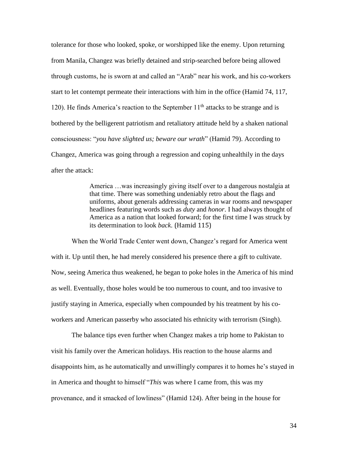tolerance for those who looked, spoke, or worshipped like the enemy. Upon returning from Manila, Changez was briefly detained and strip-searched before being allowed through customs, he is sworn at and called an "Arab" near his work, and his co-workers start to let contempt permeate their interactions with him in the office (Hamid 74, 117, 120). He finds America's reaction to the September  $11<sup>th</sup>$  attacks to be strange and is bothered by the belligerent patriotism and retaliatory attitude held by a shaken national consciousness: "*you have slighted us; beware our wrath*" (Hamid 79). According to Changez, America was going through a regression and coping unhealthily in the days after the attack:

> America …was increasingly giving itself over to a dangerous nostalgia at that time. There was something undeniably retro about the flags and uniforms, about generals addressing cameras in war rooms and newspaper headlines featuring words such as *duty* and *honor*. I had always thought of America as a nation that looked forward; for the first time I was struck by its determination to look *back*. (Hamid 115)

When the World Trade Center went down, Changez's regard for America went with it. Up until then, he had merely considered his presence there a gift to cultivate. Now, seeing America thus weakened, he began to poke holes in the America of his mind as well. Eventually, those holes would be too numerous to count, and too invasive to justify staying in America, especially when compounded by his treatment by his coworkers and American passerby who associated his ethnicity with terrorism (Singh).

The balance tips even further when Changez makes a trip home to Pakistan to visit his family over the American holidays. His reaction to the house alarms and disappoints him, as he automatically and unwillingly compares it to homes he's stayed in in America and thought to himself "*This* was where I came from, this was my provenance, and it smacked of lowliness" (Hamid 124). After being in the house for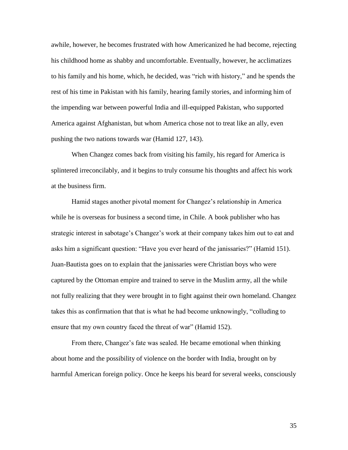awhile, however, he becomes frustrated with how Americanized he had become, rejecting his childhood home as shabby and uncomfortable. Eventually, however, he acclimatizes to his family and his home, which, he decided, was "rich with history," and he spends the rest of his time in Pakistan with his family, hearing family stories, and informing him of the impending war between powerful India and ill-equipped Pakistan, who supported America against Afghanistan, but whom America chose not to treat like an ally, even pushing the two nations towards war (Hamid 127, 143).

When Changez comes back from visiting his family, his regard for America is splintered irreconcilably, and it begins to truly consume his thoughts and affect his work at the business firm.

Hamid stages another pivotal moment for Changez's relationship in America while he is overseas for business a second time, in Chile. A book publisher who has strategic interest in sabotage's Changez's work at their company takes him out to eat and asks him a significant question: "Have you ever heard of the janissaries?" (Hamid 151). Juan-Bautista goes on to explain that the janissaries were Christian boys who were captured by the Ottoman empire and trained to serve in the Muslim army, all the while not fully realizing that they were brought in to fight against their own homeland. Changez takes this as confirmation that that is what he had become unknowingly, "colluding to ensure that my own country faced the threat of war" (Hamid 152).

From there, Changez's fate was sealed. He became emotional when thinking about home and the possibility of violence on the border with India, brought on by harmful American foreign policy. Once he keeps his beard for several weeks, consciously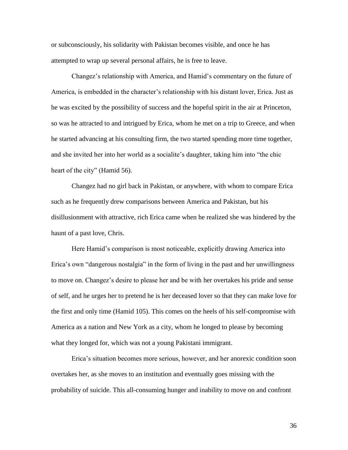or subconsciously, his solidarity with Pakistan becomes visible, and once he has attempted to wrap up several personal affairs, he is free to leave.

Changez's relationship with America, and Hamid's commentary on the future of America, is embedded in the character's relationship with his distant lover, Erica. Just as he was excited by the possibility of success and the hopeful spirit in the air at Princeton, so was he attracted to and intrigued by Erica, whom he met on a trip to Greece, and when he started advancing at his consulting firm, the two started spending more time together, and she invited her into her world as a socialite's daughter, taking him into "the chic heart of the city" (Hamid 56).

Changez had no girl back in Pakistan, or anywhere, with whom to compare Erica such as he frequently drew comparisons between America and Pakistan, but his disillusionment with attractive, rich Erica came when he realized she was hindered by the haunt of a past love, Chris.

Here Hamid's comparison is most noticeable, explicitly drawing America into Erica's own "dangerous nostalgia" in the form of living in the past and her unwillingness to move on. Changez's desire to please her and be with her overtakes his pride and sense of self, and he urges her to pretend he is her deceased lover so that they can make love for the first and only time (Hamid 105). This comes on the heels of his self-compromise with America as a nation and New York as a city, whom he longed to please by becoming what they longed for, which was not a young Pakistani immigrant.

Erica's situation becomes more serious, however, and her anorexic condition soon overtakes her, as she moves to an institution and eventually goes missing with the probability of suicide. This all-consuming hunger and inability to move on and confront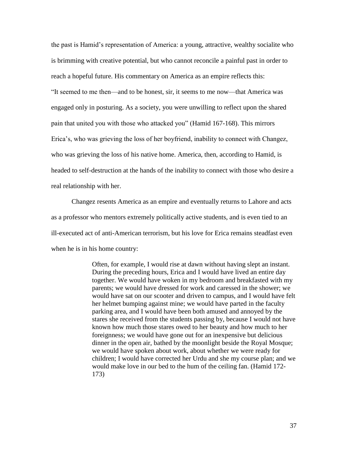the past is Hamid's representation of America: a young, attractive, wealthy socialite who is brimming with creative potential, but who cannot reconcile a painful past in order to reach a hopeful future. His commentary on America as an empire reflects this: "It seemed to me then—and to be honest, sir, it seems to me now—that America was engaged only in posturing. As a society, you were unwilling to reflect upon the shared pain that united you with those who attacked you" (Hamid 167-168). This mirrors Erica's, who was grieving the loss of her boyfriend, inability to connect with Changez, who was grieving the loss of his native home. America, then, according to Hamid, is headed to self-destruction at the hands of the inability to connect with those who desire a real relationship with her.

Changez resents America as an empire and eventually returns to Lahore and acts as a professor who mentors extremely politically active students, and is even tied to an ill-executed act of anti-American terrorism, but his love for Erica remains steadfast even when he is in his home country:

> Often, for example, I would rise at dawn without having slept an instant. During the preceding hours, Erica and I would have lived an entire day together. We would have woken in my bedroom and breakfasted with my parents; we would have dressed for work and caressed in the shower; we would have sat on our scooter and driven to campus, and I would have felt her helmet bumping against mine; we would have parted in the faculty parking area, and I would have been both amused and annoyed by the stares she received from the students passing by, because I would not have known how much those stares owed to her beauty and how much to her foreignness; we would have gone out for an inexpensive but delicious dinner in the open air, bathed by the moonlight beside the Royal Mosque; we would have spoken about work, about whether we were ready for children; I would have corrected her Urdu and she my course plan; and we would make love in our bed to the hum of the ceiling fan. (Hamid 172- 173)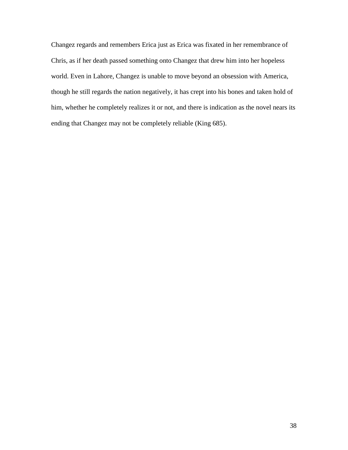Changez regards and remembers Erica just as Erica was fixated in her remembrance of Chris, as if her death passed something onto Changez that drew him into her hopeless world. Even in Lahore, Changez is unable to move beyond an obsession with America, though he still regards the nation negatively, it has crept into his bones and taken hold of him, whether he completely realizes it or not, and there is indication as the novel nears its ending that Changez may not be completely reliable (King 685).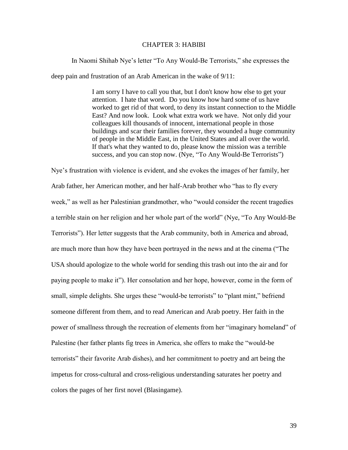## CHAPTER 3: HABIBI

In Naomi Shihab Nye's letter "To Any Would-Be Terrorists," she expresses the

deep pain and frustration of an Arab American in the wake of 9/11:

I am sorry I have to call you that, but I don't know how else to get your attention. I hate that word. Do you know how hard some of us have worked to get rid of that word, to deny its instant connection to the Middle East? And now look. Look what extra work we have. Not only did your colleagues kill thousands of innocent, international people in those buildings and scar their families forever, they wounded a huge community of people in the Middle East, in the United States and all over the world. If that's what they wanted to do, please know the mission was a terrible success, and you can stop now. (Nye, "To Any Would-Be Terrorists")

Nye's frustration with violence is evident, and she evokes the images of her family, her Arab father, her American mother, and her half-Arab brother who "has to fly every week," as well as her Palestinian grandmother, who "would consider the recent tragedies a terrible stain on her religion and her whole part of the world" (Nye, "To Any Would-Be Terrorists"). Her letter suggests that the Arab community, both in America and abroad, are much more than how they have been portrayed in the news and at the cinema ("The USA should apologize to the whole world for sending this trash out into the air and for paying people to make it"). Her consolation and her hope, however, come in the form of small, simple delights. She urges these "would-be terrorists" to "plant mint," befriend someone different from them, and to read American and Arab poetry. Her faith in the power of smallness through the recreation of elements from her "imaginary homeland" of Palestine (her father plants fig trees in America, she offers to make the "would-be terrorists" their favorite Arab dishes), and her commitment to poetry and art being the impetus for cross-cultural and cross-religious understanding saturates her poetry and colors the pages of her first novel (Blasingame).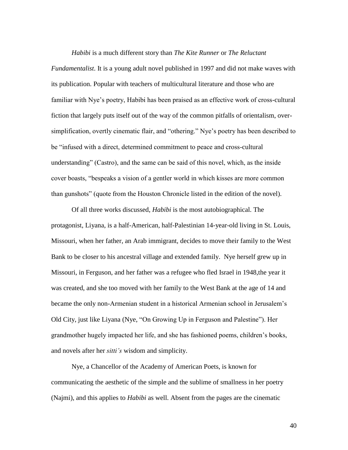#### *Habibi* is a much different story than *The Kite Runner* or *The Reluctant*

*Fundamentalist*. It is a young adult novel published in 1997 and did not make waves with its publication. Popular with teachers of multicultural literature and those who are familiar with Nye's poetry, Habibi has been praised as an effective work of cross-cultural fiction that largely puts itself out of the way of the common pitfalls of orientalism, oversimplification, overtly cinematic flair, and "othering." Nye's poetry has been described to be "infused with a direct, determined commitment to peace and cross-cultural understanding" (Castro), and the same can be said of this novel, which, as the inside cover boasts, "bespeaks a vision of a gentler world in which kisses are more common than gunshots" (quote from the Houston Chronicle listed in the edition of the novel).

Of all three works discussed, *Habibi* is the most autobiographical. The protagonist, Liyana, is a half-American, half-Palestinian 14-year-old living in St. Louis, Missouri, when her father, an Arab immigrant, decides to move their family to the West Bank to be closer to his ancestral village and extended family. Nye herself grew up in Missouri, in Ferguson, and her father was a refugee who fled Israel in 1948,the year it was created, and she too moved with her family to the West Bank at the age of 14 and became the only non-Armenian student in a historical Armenian school in Jerusalem's Old City, just like Liyana (Nye, "On Growing Up in Ferguson and Palestine"). Her grandmother hugely impacted her life, and she has fashioned poems, children's books, and novels after her *sitti's* wisdom and simplicity.

Nye, a Chancellor of the Academy of American Poets, is known for communicating the aesthetic of the simple and the sublime of smallness in her poetry (Najmi), and this applies to *Habibi* as well. Absent from the pages are the cinematic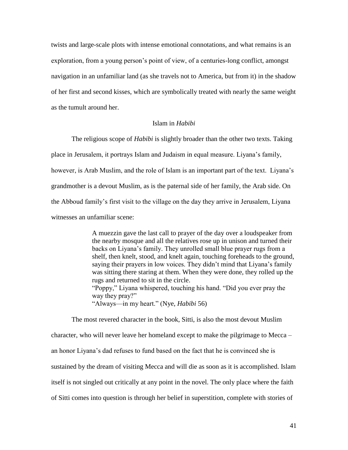twists and large-scale plots with intense emotional connotations, and what remains is an exploration, from a young person's point of view, of a centuries-long conflict, amongst navigation in an unfamiliar land (as she travels not to America, but from it) in the shadow of her first and second kisses, which are symbolically treated with nearly the same weight as the tumult around her.

## Islam in *Habibi*

The religious scope of *Habibi* is slightly broader than the other two texts. Taking place in Jerusalem, it portrays Islam and Judaism in equal measure. Liyana's family, however, is Arab Muslim, and the role of Islam is an important part of the text. Liyana's grandmother is a devout Muslim, as is the paternal side of her family, the Arab side. On the Abboud family's first visit to the village on the day they arrive in Jerusalem, Liyana witnesses an unfamiliar scene:

> A muezzin gave the last call to prayer of the day over a loudspeaker from the nearby mosque and all the relatives rose up in unison and turned their backs on Liyana's family. They unrolled small blue prayer rugs from a shelf, then knelt, stood, and knelt again, touching foreheads to the ground, saying their prayers in low voices. They didn't mind that Liyana's family was sitting there staring at them. When they were done, they rolled up the rugs and returned to sit in the circle. "Poppy," Liyana whispered, touching his hand. "Did you ever pray the way they pray?" "Always—in my heart." (Nye, *Habibi* 56)

The most revered character in the book, Sitti, is also the most devout Muslim character, who will never leave her homeland except to make the pilgrimage to Mecca – an honor Liyana's dad refuses to fund based on the fact that he is convinced she is sustained by the dream of visiting Mecca and will die as soon as it is accomplished. Islam itself is not singled out critically at any point in the novel. The only place where the faith of Sitti comes into question is through her belief in superstition, complete with stories of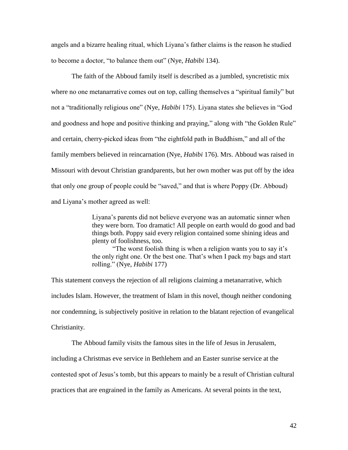angels and a bizarre healing ritual, which Liyana's father claims is the reason he studied to become a doctor, "to balance them out" (Nye, *Habibi* 134).

The faith of the Abboud family itself is described as a jumbled, syncretistic mix where no one metanarrative comes out on top, calling themselves a "spiritual family" but not a "traditionally religious one" (Nye, *Habibi* 175). Liyana states she believes in "God and goodness and hope and positive thinking and praying," along with "the Golden Rule" and certain, cherry-picked ideas from "the eightfold path in Buddhism," and all of the family members believed in reincarnation (Nye, *Habibi* 176). Mrs. Abboud was raised in Missouri with devout Christian grandparents, but her own mother was put off by the idea that only one group of people could be "saved," and that is where Poppy (Dr. Abboud) and Liyana's mother agreed as well:

> Liyana's parents did not believe everyone was an automatic sinner when they were born. Too dramatic! All people on earth would do good and bad things both. Poppy said every religion contained some shining ideas and plenty of foolishness, too.

"The worst foolish thing is when a religion wants you to say it's the only right one. Or the best one. That's when I pack my bags and start rolling." (Nye, *Habibi* 177)

This statement conveys the rejection of all religions claiming a metanarrative, which includes Islam. However, the treatment of Islam in this novel, though neither condoning nor condemning, is subjectively positive in relation to the blatant rejection of evangelical Christianity.

The Abboud family visits the famous sites in the life of Jesus in Jerusalem,

including a Christmas eve service in Bethlehem and an Easter sunrise service at the

contested spot of Jesus's tomb, but this appears to mainly be a result of Christian cultural

practices that are engrained in the family as Americans. At several points in the text,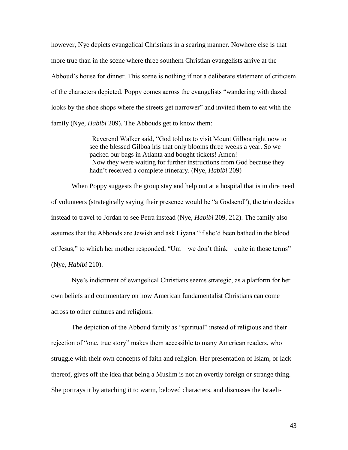however, Nye depicts evangelical Christians in a searing manner. Nowhere else is that more true than in the scene where three southern Christian evangelists arrive at the Abboud's house for dinner. This scene is nothing if not a deliberate statement of criticism of the characters depicted. Poppy comes across the evangelists "wandering with dazed looks by the shoe shops where the streets get narrower" and invited them to eat with the family (Nye, *Habibi* 209). The Abbouds get to know them:

> Reverend Walker said, "God told us to visit Mount Gilboa right now to see the blessed Gilboa iris that only blooms three weeks a year. So we packed our bags in Atlanta and bought tickets! Amen! Now they were waiting for further instructions from God because they hadn't received a complete itinerary. (Nye, *Habibi* 209)

When Poppy suggests the group stay and help out at a hospital that is in dire need of volunteers (strategically saying their presence would be "a Godsend"), the trio decides instead to travel to Jordan to see Petra instead (Nye, *Habibi* 209, 212). The family also assumes that the Abbouds are Jewish and ask Liyana "if she'd been bathed in the blood of Jesus," to which her mother responded, "Um—we don't think—quite in those terms" (Nye, *Habibi* 210).

Nye's indictment of evangelical Christians seems strategic, as a platform for her own beliefs and commentary on how American fundamentalist Christians can come across to other cultures and religions.

The depiction of the Abboud family as "spiritual" instead of religious and their rejection of "one, true story" makes them accessible to many American readers, who struggle with their own concepts of faith and religion. Her presentation of Islam, or lack thereof, gives off the idea that being a Muslim is not an overtly foreign or strange thing. She portrays it by attaching it to warm, beloved characters, and discusses the Israeli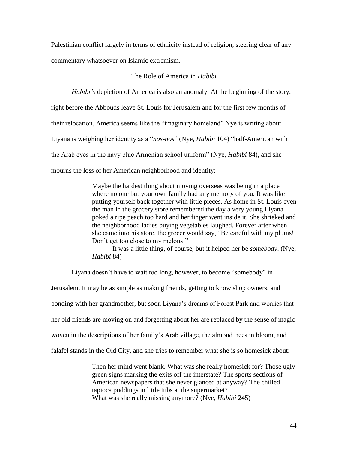Palestinian conflict largely in terms of ethnicity instead of religion, steering clear of any commentary whatsoever on Islamic extremism.

## The Role of America in *Habibi*

*Habibi's* depiction of America is also an anomaly. At the beginning of the story, right before the Abbouds leave St. Louis for Jerusalem and for the first few months of their relocation, America seems like the "imaginary homeland" Nye is writing about. Liyana is weighing her identity as a "*nos-nos*" (Nye, *Habibi* 104) "half-American with the Arab eyes in the navy blue Armenian school uniform" (Nye, *Habibi* 84), and she mourns the loss of her American neighborhood and identity:

> Maybe the hardest thing about moving overseas was being in a place where no one but your own family had any memory of you. It was like putting yourself back together with little pieces. As home in St. Louis even the man in the grocery store remembered the day a very young Liyana poked a ripe peach too hard and her finger went inside it. She shrieked and the neighborhood ladies buying vegetables laughed. Forever after when she came into his store, the grocer would say, "Be careful with my plums! Don't get too close to my melons!"

> It was a little thing, of course, but it helped her be *somebody*. (Nye, *Habibi* 84)

Liyana doesn't have to wait too long, however, to become "somebody" in

Jerusalem. It may be as simple as making friends, getting to know shop owners, and bonding with her grandmother, but soon Liyana's dreams of Forest Park and worries that her old friends are moving on and forgetting about her are replaced by the sense of magic woven in the descriptions of her family's Arab village, the almond trees in bloom, and falafel stands in the Old City, and she tries to remember what she is so homesick about:

> Then her mind went blank. What was she really homesick for? Those ugly green signs marking the exits off the interstate? The sports sections of American newspapers that she never glanced at anyway? The chilled tapioca puddings in little tubs at the supermarket? What was she really missing anymore? (Nye, *Habibi* 245)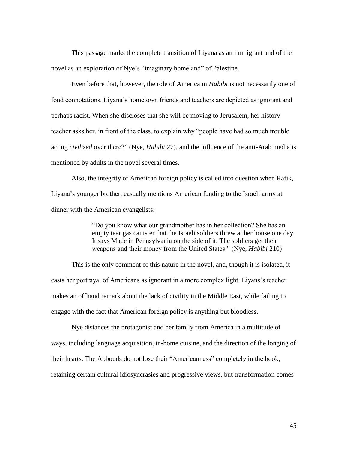This passage marks the complete transition of Liyana as an immigrant and of the novel as an exploration of Nye's "imaginary homeland" of Palestine.

Even before that, however, the role of America in *Habibi* is not necessarily one of fond connotations. Liyana's hometown friends and teachers are depicted as ignorant and perhaps racist. When she discloses that she will be moving to Jerusalem, her history teacher asks her, in front of the class, to explain why "people have had so much trouble acting *civilized* over there?" (Nye, *Habibi* 27), and the influence of the anti-Arab media is mentioned by adults in the novel several times.

Also, the integrity of American foreign policy is called into question when Rafik, Liyana's younger brother, casually mentions American funding to the Israeli army at dinner with the American evangelists:

> "Do you know what our grandmother has in her collection? She has an empty tear gas canister that the Israeli soldiers threw at her house one day. It says Made in Pennsylvania on the side of it. The soldiers get their weapons and their money from the United States." (Nye, *Habibi* 210)

This is the only comment of this nature in the novel, and, though it is isolated, it casts her portrayal of Americans as ignorant in a more complex light. Liyans's teacher makes an offhand remark about the lack of civility in the Middle East, while failing to engage with the fact that American foreign policy is anything but bloodless.

Nye distances the protagonist and her family from America in a multitude of ways, including language acquisition, in-home cuisine, and the direction of the longing of their hearts. The Abbouds do not lose their "Americanness" completely in the book, retaining certain cultural idiosyncrasies and progressive views, but transformation comes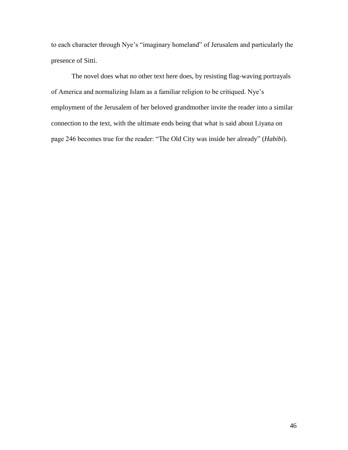to each character through Nye's "imaginary homeland" of Jerusalem and particularly the presence of Sitti.

The novel does what no other text here does, by resisting flag-waving portrayals of America and normalizing Islam as a familiar religion to be critiqued. Nye's employment of the Jerusalem of her beloved grandmother invite the reader into a similar connection to the text, with the ultimate ends being that what is said about Liyana on page 246 becomes true for the reader: "The Old City was inside her already" (*Habibi*).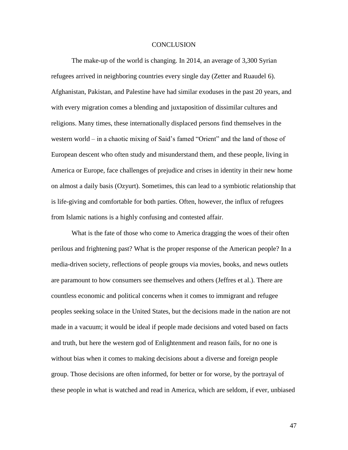#### **CONCLUSION**

The make-up of the world is changing. In 2014, an average of 3,300 Syrian refugees arrived in neighboring countries every single day (Zetter and Ruaudel 6). Afghanistan, Pakistan, and Palestine have had similar exoduses in the past 20 years, and with every migration comes a blending and juxtaposition of dissimilar cultures and religions. Many times, these internationally displaced persons find themselves in the western world – in a chaotic mixing of Said's famed "Orient" and the land of those of European descent who often study and misunderstand them, and these people, living in America or Europe, face challenges of prejudice and crises in identity in their new home on almost a daily basis (Ozyurt). Sometimes, this can lead to a symbiotic relationship that is life-giving and comfortable for both parties. Often, however, the influx of refugees from Islamic nations is a highly confusing and contested affair.

What is the fate of those who come to America dragging the woes of their often perilous and frightening past? What is the proper response of the American people? In a media-driven society, reflections of people groups via movies, books, and news outlets are paramount to how consumers see themselves and others (Jeffres et al.). There are countless economic and political concerns when it comes to immigrant and refugee peoples seeking solace in the United States, but the decisions made in the nation are not made in a vacuum; it would be ideal if people made decisions and voted based on facts and truth, but here the western god of Enlightenment and reason fails, for no one is without bias when it comes to making decisions about a diverse and foreign people group. Those decisions are often informed, for better or for worse, by the portrayal of these people in what is watched and read in America, which are seldom, if ever, unbiased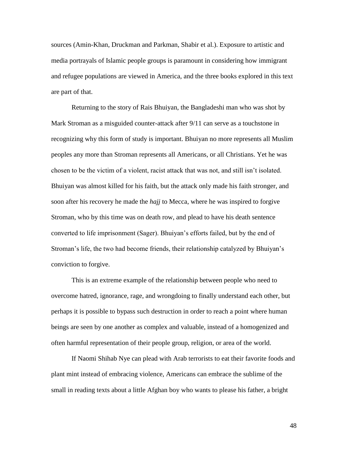sources (Amin-Khan, Druckman and Parkman, Shabir et al.). Exposure to artistic and media portrayals of Islamic people groups is paramount in considering how immigrant and refugee populations are viewed in America, and the three books explored in this text are part of that.

Returning to the story of Rais Bhuiyan, the Bangladeshi man who was shot by Mark Stroman as a misguided counter-attack after 9/11 can serve as a touchstone in recognizing why this form of study is important. Bhuiyan no more represents all Muslim peoples any more than Stroman represents all Americans, or all Christians. Yet he was chosen to be the victim of a violent, racist attack that was not, and still isn't isolated. Bhuiyan was almost killed for his faith, but the attack only made his faith stronger, and soon after his recovery he made the *hajj* to Mecca, where he was inspired to forgive Stroman, who by this time was on death row, and plead to have his death sentence converted to life imprisonment (Sager). Bhuiyan's efforts failed, but by the end of Stroman's life, the two had become friends, their relationship catalyzed by Bhuiyan's conviction to forgive.

This is an extreme example of the relationship between people who need to overcome hatred, ignorance, rage, and wrongdoing to finally understand each other, but perhaps it is possible to bypass such destruction in order to reach a point where human beings are seen by one another as complex and valuable, instead of a homogenized and often harmful representation of their people group, religion, or area of the world.

If Naomi Shihab Nye can plead with Arab terrorists to eat their favorite foods and plant mint instead of embracing violence, Americans can embrace the sublime of the small in reading texts about a little Afghan boy who wants to please his father, a bright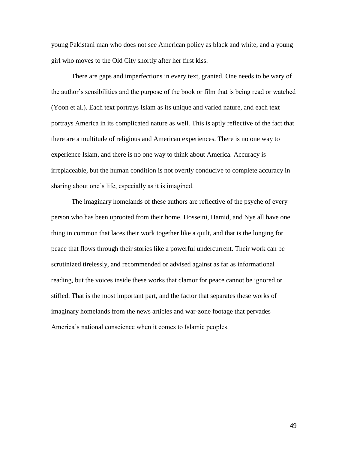young Pakistani man who does not see American policy as black and white, and a young girl who moves to the Old City shortly after her first kiss.

There are gaps and imperfections in every text, granted. One needs to be wary of the author's sensibilities and the purpose of the book or film that is being read or watched (Yoon et al.). Each text portrays Islam as its unique and varied nature, and each text portrays America in its complicated nature as well. This is aptly reflective of the fact that there are a multitude of religious and American experiences. There is no one way to experience Islam, and there is no one way to think about America. Accuracy is irreplaceable, but the human condition is not overtly conducive to complete accuracy in sharing about one's life, especially as it is imagined.

The imaginary homelands of these authors are reflective of the psyche of every person who has been uprooted from their home. Hosseini, Hamid, and Nye all have one thing in common that laces their work together like a quilt, and that is the longing for peace that flows through their stories like a powerful undercurrent. Their work can be scrutinized tirelessly, and recommended or advised against as far as informational reading, but the voices inside these works that clamor for peace cannot be ignored or stifled. That is the most important part, and the factor that separates these works of imaginary homelands from the news articles and war-zone footage that pervades America's national conscience when it comes to Islamic peoples.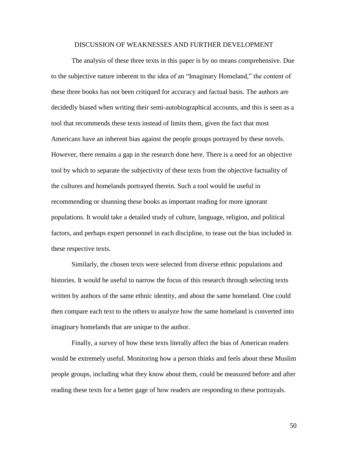#### DISCUSSION OF WEAKNESSES AND FURTHER DEVELOPMENT

The analysis of these three texts in this paper is by no means comprehensive. Due to the subjective nature inherent to the idea of an "Imaginary Homeland," the content of these three books has not been critiqued for accuracy and factual basis. The authors are decidedly biased when writing their semi-autobiographical accounts, and this is seen as a tool that recommends these texts instead of limits them, given the fact that most Americans have an inherent bias against the people groups portrayed by these novels. However, there remains a gap in the research done here. There is a need for an objective tool by which to separate the subjectivity of these texts from the objective factuality of the cultures and homelands portrayed therein. Such a tool would be useful in recommending or shunning these books as important reading for more ignorant populations. It would take a detailed study of culture, language, religion, and political factors, and perhaps expert personnel in each discipline, to tease out the bias included in these respective texts.

Similarly, the chosen texts were selected from diverse ethnic populations and histories. It would be useful to narrow the focus of this research through selecting texts written by authors of the same ethnic identity, and about the same homeland. One could then compare each text to the others to analyze how the same homeland is converted into imaginary homelands that are unique to the author.

Finally, a survey of how these texts literally affect the bias of American readers would be extremely useful. Monitoring how a person thinks and feels about these Muslim people groups, including what they know about them, could be measured before and after reading these texts for a better gage of how readers are responding to these portrayals.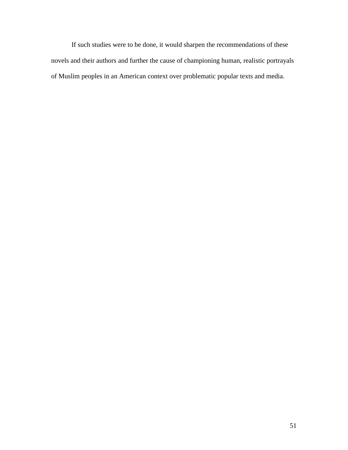If such studies were to be done, it would sharpen the recommendations of these novels and their authors and further the cause of championing human, realistic portrayals of Muslim peoples in an American context over problematic popular texts and media.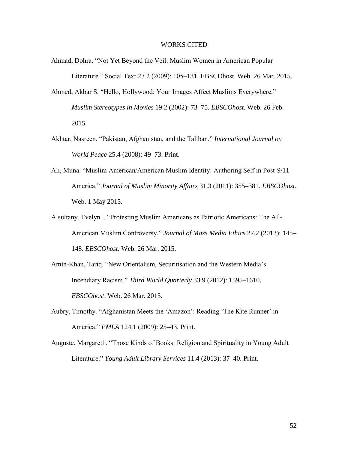#### WORKS CITED

- Ahmad, Dohra. "Not Yet Beyond the Veil: Muslim Women in American Popular Literature." Social Text 27.2 (2009): 105–131. EBSCOhost. Web. 26 Mar. 2015.
- Ahmed, Akbar S. "Hello, Hollywood: Your Images Affect Muslims Everywhere." *Muslim Stereotypes in Movies* 19.2 (2002): 73–75. *EBSCOhost*. Web. 26 Feb. 2015.
- Akhtar, Nasreen. "Pakistan, Afghanistan, and the Taliban." *International Journal on World Peace* 25.4 (2008): 49–73. Print.
- Ali, Muna. "Muslim American/American Muslim Identity: Authoring Self in Post-9/11 America." *Journal of Muslim Minority Affairs* 31.3 (2011): 355–381. *EBSCOhost*. Web. 1 May 2015.
- Alsultany, Evelyn1. "Protesting Muslim Americans as Patriotic Americans: The All-American Muslim Controversy." *Journal of Mass Media Ethics* 27.2 (2012): 145– 148. *EBSCOhost*. Web. 26 Mar. 2015.
- Amin-Khan, Tariq. "New Orientalism, Securitisation and the Western Media's Incendiary Racism." *Third World Quarterly* 33.9 (2012): 1595–1610. *EBSCOhost*. Web. 26 Mar. 2015.
- Aubry, Timothy. "Afghanistan Meets the 'Amazon': Reading 'The Kite Runner' in America." *PMLA* 124.1 (2009): 25–43. Print.
- Auguste, Margaret1. "Those Kinds of Books: Religion and Spirituality in Young Adult Literature." *Young Adult Library Services* 11.4 (2013): 37–40. Print.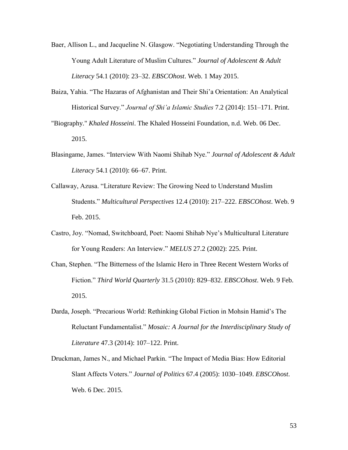- Baer, Allison L., and Jacqueline N. Glasgow. "Negotiating Understanding Through the Young Adult Literature of Muslim Cultures." *Journal of Adolescent & Adult Literacy* 54.1 (2010): 23–32. *EBSCOhost*. Web. 1 May 2015.
- Baiza, Yahia. "The Hazaras of Afghanistan and Their Shi'a Orientation: An Analytical Historical Survey." *Journal of Shi'a Islamic Studies* 7.2 (2014): 151–171. Print.
- "Biography." *Khaled Hosseini*. The Khaled Hosseini Foundation, n.d. Web. 06 Dec. 2015.
- Blasingame, James. "Interview With Naomi Shihab Nye." *Journal of Adolescent & Adult Literacy* 54.1 (2010): 66–67. Print.
- Callaway, Azusa. "Literature Review: The Growing Need to Understand Muslim Students." *Multicultural Perspectives* 12.4 (2010): 217–222. *EBSCOhost*. Web. 9 Feb. 2015.
- Castro, Joy. "Nomad, Switchboard, Poet: Naomi Shihab Nye's Multicultural Literature for Young Readers: An Interview." *MELUS* 27.2 (2002): 225. Print.
- Chan, Stephen. "The Bitterness of the Islamic Hero in Three Recent Western Works of Fiction." *Third World Quarterly* 31.5 (2010): 829–832. *EBSCOhost*. Web. 9 Feb. 2015.
- Darda, Joseph. "Precarious World: Rethinking Global Fiction in Mohsin Hamid's The Reluctant Fundamentalist." *Mosaic: A Journal for the Interdisciplinary Study of Literature* 47.3 (2014): 107–122. Print.
- Druckman, James N., and Michael Parkin. "The Impact of Media Bias: How Editorial Slant Affects Voters." *Journal of Politics* 67.4 (2005): 1030–1049. *EBSCOhost*. Web. 6 Dec. 2015.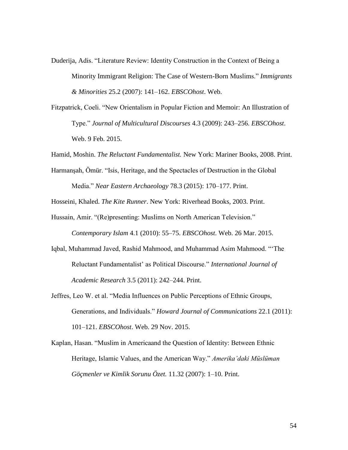- Duderija, Adis. "Literature Review: Identity Construction in the Context of Being a Minority Immigrant Religion: The Case of Western-Born Muslims." *Immigrants & Minorities* 25.2 (2007): 141–162. *EBSCOhost*. Web.
- Fitzpatrick, Coeli. "New Orientalism in Popular Fiction and Memoir: An Illustration of Type." *Journal of Multicultural Discourses* 4.3 (2009): 243–256. *EBSCOhost*. Web. 9 Feb. 2015.
- Hamid, Moshin. *The Reluctant Fundamentalist.* New York: Mariner Books, 2008. Print.
- Harmanşah, Ömür. "Isis, Heritage, and the Spectacles of Destruction in the Global Media." *Near Eastern Archaeology* 78.3 (2015): 170–177. Print.

Hosseini, Khaled. *The Kite Runner*. New York: Riverhead Books, 2003. Print.

- Hussain, Amir. "(Re)presenting: Muslims on North American Television." *Contemporary Islam* 4.1 (2010): 55–75. *EBSCOhost*. Web. 26 Mar. 2015.
- Iqbal, Muhammad Javed, Rashid Mahmood, and Muhammad Asim Mahmood. "'The Reluctant Fundamentalist' as Political Discourse." *International Journal of Academic Research* 3.5 (2011): 242–244. Print.
- Jeffres, Leo W. et al. "Media Influences on Public Perceptions of Ethnic Groups, Generations, and Individuals." *Howard Journal of Communications* 22.1 (2011): 101–121. *EBSCOhost*. Web. 29 Nov. 2015.
- Kaplan, Hasan. "Muslim in Americaand the Question of Identity: Between Ethnic Heritage, Islamic Values, and the American Way." *Amerika'daki Müslüman Göçmenler ve Kimlik Sorunu Özet.* 11.32 (2007): 1–10. Print.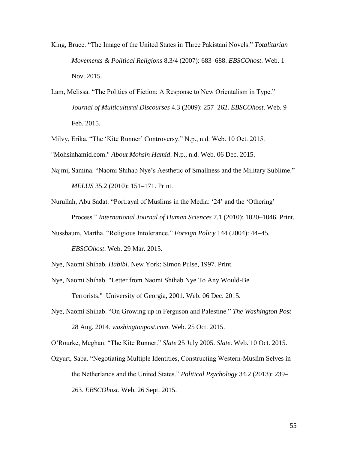- King, Bruce. "The Image of the United States in Three Pakistani Novels." *Totalitarian Movements & Political Religions* 8.3/4 (2007): 683–688. *EBSCOhost*. Web. 1 Nov. 2015.
- Lam, Melissa. "The Politics of Fiction: A Response to New Orientalism in Type." *Journal of Multicultural Discourses* 4.3 (2009): 257–262. *EBSCOhost*. Web. 9 Feb. 2015.

Milvy, Erika. "The 'Kite Runner' Controversy." N.p., n.d. Web. 10 Oct. 2015.

"Mohsinhamid.com." *About Mohsin Hamid*. N.p., n.d. Web. 06 Dec. 2015.

Najmi, Samina. "Naomi Shihab Nye's Aesthetic of Smallness and the Military Sublime." *MELUS* 35.2 (2010): 151–171. Print.

Nurullah, Abu Sadat. "Portrayal of Muslims in the Media: '24' and the 'Othering' Process." *International Journal of Human Sciences* 7.1 (2010): 1020–1046. Print.

Nussbaum, Martha. "Religious Intolerance." *Foreign Policy* 144 (2004): 44–45.

*EBSCOhost*. Web. 29 Mar. 2015.

Nye, Naomi Shihab. *Habibi*. New York: Simon Pulse, 1997. Print.

Nye, Naomi Shihab. "Letter from Naomi Shihab Nye To Any Would-Be

Terrorists." University of Georgia, 2001. Web. 06 Dec. 2015.

Nye, Naomi Shihab. "On Growing up in Ferguson and Palestine." *The Washington Post* 28 Aug. 2014. *washingtonpost.com*. Web. 25 Oct. 2015.

O'Rourke, Meghan. "The Kite Runner." *Slate* 25 July 2005. *Slate*. Web. 10 Oct. 2015.

Ozyurt, Saba. "Negotiating Multiple Identities, Constructing Western-Muslim Selves in the Netherlands and the United States." *Political Psychology* 34.2 (2013): 239– 263. *EBSCOhost*. Web. 26 Sept. 2015.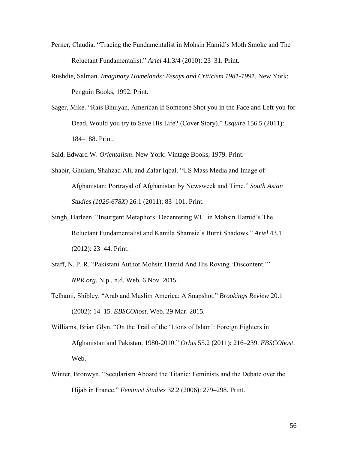- Perner, Claudia. "Tracing the Fundamentalist in Mohsin Hamid's Moth Smoke and The Reluctant Fundamentalist." *Ariel* 41.3/4 (2010): 23–31. Print.
- Rushdie, Salman. *Imaginary Homelands: Essays and Criticism 1981-1991.* New York: Penguin Books, 1992. Print.
- Sager, Mike. "Rais Bhuiyan, American If Someone Shot you in the Face and Left you for Dead, Would you try to Save His Life? (Cover Story)." *Esquire* 156.5 (2011): 184–188. Print.

Said, Edward W. *Orientalism*. New York: Vintage Books, 1979. Print.

- Shabir, Ghulam, Shahzad Ali, and Zafar Iqbal. "US Mass Media and Image of Afghanistan: Portrayal of Afghanistan by Newsweek and Time." *South Asian Studies (1026-678X)* 26.1 (2011): 83–101. Print.
- Singh, Harleen. "Insurgent Metaphors: Decentering 9/11 in Mohsin Hamid's The Reluctant Fundamentalist and Kamila Shamsie's Burnt Shadows." *Ariel* 43.1 (2012): 23–44. Print.
- Staff, N. P. R. "Pakistani Author Mohsin Hamid And His Roving 'Discontent.'" *NPR.org*. N.p., n.d. Web. 6 Nov. 2015.
- Telhami, Shibley. "Arab and Muslim America: A Snapshot." *Brookings Review* 20.1 (2002): 14–15. *EBSCOhost*. Web. 29 Mar. 2015.
- Williams, Brian Glyn. "On the Trail of the 'Lions of Islam': Foreign Fighters in Afghanistan and Pakistan, 1980-2010." *Orbis* 55.2 (2011): 216–239. *EBSCOhost*. Web.
- Winter, Bronwyn. "Secularism Aboard the Titanic: Feminists and the Debate over the Hijab in France." *Feminist Studies* 32.2 (2006): 279–298. Print.